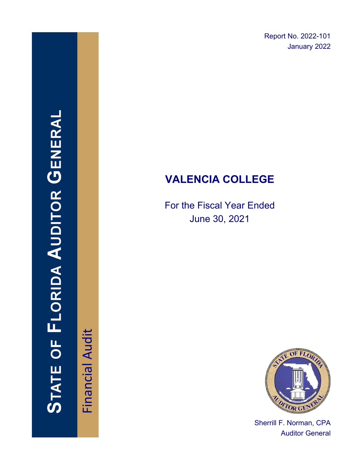Report No. 2022-101 January 2022

# **VALENCIA COLLEGE**

For the Fiscal Year Ended June 30, 2021



Sherrill F. Norman, CPA Auditor General

Financial Audit Financial Audit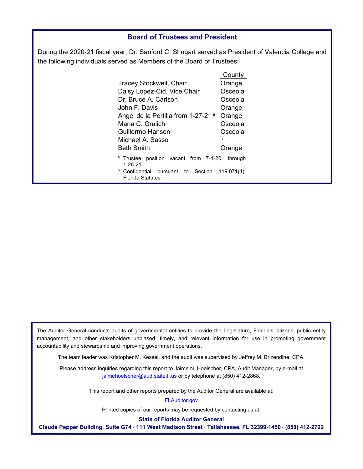#### **Board of Trustees and President**

During the 2020-21 fiscal year, Dr. Sanford C. Shugart served as President of Valencia College and the following individuals served as Members of the Board of Trustees:

|                                                                          | County         |
|--------------------------------------------------------------------------|----------------|
| Tracey Stockwell, Chair                                                  | Orange         |
| Daisy Lopez-Cid, Vice Chair                                              | Osceola        |
| Dr. Bruce A. Carlson                                                     | Osceola        |
| John F. Davis                                                            | Orange         |
| Angel de la Portilla from 1-27-21 <sup>a</sup>                           | Orange         |
| Maria C. Grulich                                                         | Osceola        |
| Guillermo Hansen                                                         | Osceola        |
| Michael A. Sasso                                                         | b              |
| <b>Beth Smith</b>                                                        | Orange         |
| <sup>a</sup> Trustee position vacant from 7-1-20, through<br>$1-26-21$   |                |
| <sup>b</sup> Confidential pursuant<br>Section<br>to<br>Florida Statutes. | $119.071(4)$ , |

The Auditor General conducts audits of governmental entities to provide the Legislature, Florida's citizens, public entity management, and other stakeholders unbiased, timely, and relevant information for use in promoting government accountability and stewardship and improving government operations.

The team leader was Kristopher M. Kessel, and the audit was supervised by Jeffrey M. Brizendine, CPA.

Please address inquiries regarding this report to Jaime N. Hoelscher, CPA, Audit Manager, by e-mail at jaimehoelscher@aud.state.fl.us or by telephone at (850) 412-2868.

This report and other reports prepared by the Auditor General are available at:

[FLAuditor.gov](http://flauditor.gov/) 

Printed copies of our reports may be requested by contacting us at:

**State of Florida Auditor General** 

**Claude Pepper Building, Suite G74 ∙ 111 West Madison Street ∙ Tallahassee, FL 32399-1450 ∙ (850) 412-2722**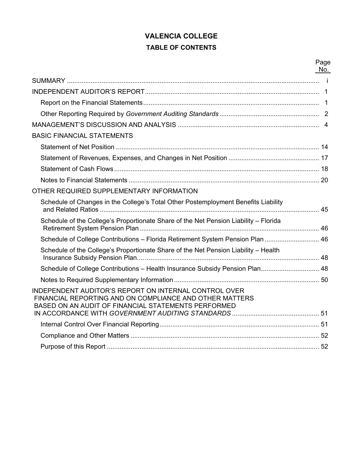## **VALENCIA COLLEGE TABLE OF CONTENTS**

| Page<br>No.                                                                                                                                                             |  |
|-------------------------------------------------------------------------------------------------------------------------------------------------------------------------|--|
|                                                                                                                                                                         |  |
|                                                                                                                                                                         |  |
|                                                                                                                                                                         |  |
|                                                                                                                                                                         |  |
|                                                                                                                                                                         |  |
| <b>BASIC FINANCIAL STATEMENTS</b>                                                                                                                                       |  |
|                                                                                                                                                                         |  |
|                                                                                                                                                                         |  |
|                                                                                                                                                                         |  |
|                                                                                                                                                                         |  |
| OTHER REQUIRED SUPPLEMENTARY INFORMATION                                                                                                                                |  |
| Schedule of Changes in the College's Total Other Postemployment Benefits Liability                                                                                      |  |
| Schedule of the College's Proportionate Share of the Net Pension Liability - Florida                                                                                    |  |
| Schedule of College Contributions - Florida Retirement System Pension Plan  46                                                                                          |  |
| Schedule of the College's Proportionate Share of the Net Pension Liability - Health                                                                                     |  |
| Schedule of College Contributions - Health Insurance Subsidy Pension Plan 48                                                                                            |  |
|                                                                                                                                                                         |  |
| INDEPENDENT AUDITOR'S REPORT ON INTERNAL CONTROL OVER<br>FINANCIAL REPORTING AND ON COMPLIANCE AND OTHER MATTERS<br>BASED ON AN AUDIT OF FINANCIAL STATEMENTS PERFORMED |  |
|                                                                                                                                                                         |  |
|                                                                                                                                                                         |  |
|                                                                                                                                                                         |  |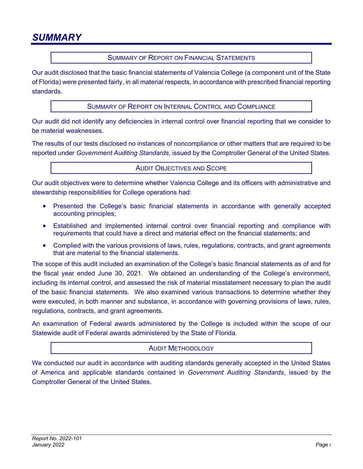## SUMMARY OF REPORT ON FINANCIAL STATEMENTS

<span id="page-3-0"></span>Our audit disclosed that the basic financial statements of Valencia College (a component unit of the State of Florida) were presented fairly, in all material respects, in accordance with prescribed financial reporting standards.

SUMMARY OF REPORT ON INTERNAL CONTROL AND COMPLIANCE

Our audit did not identify any deficiencies in internal control over financial reporting that we consider to be material weaknesses.

The results of our tests disclosed no instances of noncompliance or other matters that are required to be reported under *Government Auditing Standards*, issued by the Comptroller General of the United States.

#### AUDIT OBJECTIVES AND SCOPE

Our audit objectives were to determine whether Valencia College and its officers with administrative and stewardship responsibilities for College operations had:

- Presented the College's basic financial statements in accordance with generally accepted accounting principles;
- Established and implemented internal control over financial reporting and compliance with requirements that could have a direct and material effect on the financial statements; and
- Complied with the various provisions of laws, rules, regulations, contracts, and grant agreements that are material to the financial statements.

The scope of this audit included an examination of the College's basic financial statements as of and for the fiscal year ended June 30, 2021. We obtained an understanding of the College's environment, including its internal control, and assessed the risk of material misstatement necessary to plan the audit of the basic financial statements. We also examined various transactions to determine whether they were executed, in both manner and substance, in accordance with governing provisions of laws, rules, regulations, contracts, and grant agreements.

An examination of Federal awards administered by the College is included within the scope of our Statewide audit of Federal awards administered by the State of Florida.

## AUDIT METHODOLOGY

We conducted our audit in accordance with auditing standards generally accepted in the United States of America and applicable standards contained in *Government Auditing Standards*, issued by the Comptroller General of the United States.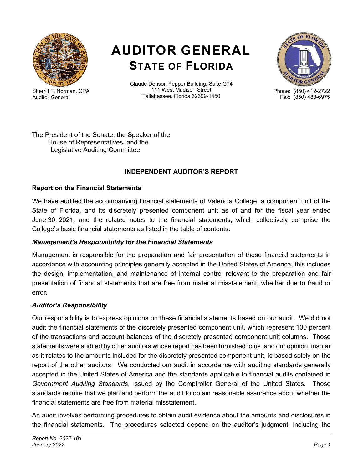<span id="page-4-0"></span>

Sherrill F. Norman, CPA Auditor General

# **AUDITOR GENERAL STATE OF FLORIDA**

Claude Denson Pepper Building, Suite G74 111 West Madison Street Tallahassee, Florida 32399-1450



Phone: (850) 412-2722 Fax: (850) 488-6975

The President of the Senate, the Speaker of the House of Representatives, and the Legislative Auditing Committee

## **INDEPENDENT AUDITOR'S REPORT**

## **Report on the Financial Statements**

We have audited the accompanying financial statements of Valencia College, a component unit of the State of Florida, and its discretely presented component unit as of and for the fiscal year ended June 30, 2021, and the related notes to the financial statements, which collectively comprise the College's basic financial statements as listed in the table of contents.

## *Management's Responsibility for the Financial Statements*

Management is responsible for the preparation and fair presentation of these financial statements in accordance with accounting principles generally accepted in the United States of America; this includes the design, implementation, and maintenance of internal control relevant to the preparation and fair presentation of financial statements that are free from material misstatement, whether due to fraud or error.

## *Auditor's Responsibility*

Our responsibility is to express opinions on these financial statements based on our audit. We did not audit the financial statements of the discretely presented component unit, which represent 100 percent of the transactions and account balances of the discretely presented component unit columns. Those statements were audited by other auditors whose report has been furnished to us, and our opinion, insofar as it relates to the amounts included for the discretely presented component unit, is based solely on the report of the other auditors. We conducted our audit in accordance with auditing standards generally accepted in the United States of America and the standards applicable to financial audits contained in *Government Auditing Standards*, issued by the Comptroller General of the United States. Those standards require that we plan and perform the audit to obtain reasonable assurance about whether the financial statements are free from material misstatement.

An audit involves performing procedures to obtain audit evidence about the amounts and disclosures in the financial statements. The procedures selected depend on the auditor's judgment, including the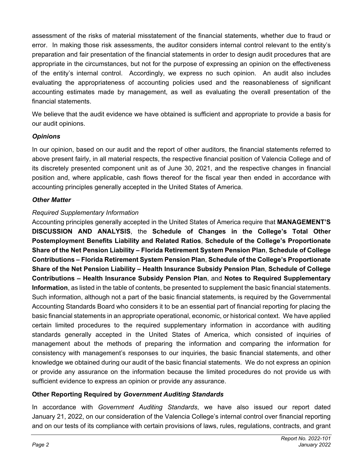<span id="page-5-0"></span>assessment of the risks of material misstatement of the financial statements, whether due to fraud or error. In making those risk assessments, the auditor considers internal control relevant to the entity's preparation and fair presentation of the financial statements in order to design audit procedures that are appropriate in the circumstances, but not for the purpose of expressing an opinion on the effectiveness of the entity's internal control. Accordingly, we express no such opinion. An audit also includes evaluating the appropriateness of accounting policies used and the reasonableness of significant accounting estimates made by management, as well as evaluating the overall presentation of the financial statements.

We believe that the audit evidence we have obtained is sufficient and appropriate to provide a basis for our audit opinions.

## *Opinions*

In our opinion, based on our audit and the report of other auditors, the financial statements referred to above present fairly, in all material respects, the respective financial position of Valencia College and of its discretely presented component unit as of June 30, 2021, and the respective changes in financial position and, where applicable, cash flows thereof for the fiscal year then ended in accordance with accounting principles generally accepted in the United States of America.

## *Other Matter*

## *Required Supplementary Information*

Accounting principles generally accepted in the United States of America require that **MANAGEMENT'S DISCUSSION AND ANALYSIS**, the **Schedule of Changes in the College's Total Other Postemployment Benefits Liability and Related Ratios**, **Schedule of the College's Proportionate Share of the Net Pension Liability – Florida Retirement System Pension Plan**, **Schedule of College Contributions – Florida Retirement System Pension Plan**, **Schedule of the College's Proportionate Share of the Net Pension Liability – Health Insurance Subsidy Pension Plan**, **Schedule of College Contributions – Health Insurance Subsidy Pension Plan**, and **Notes to Required Supplementary Information**, as listed in the table of contents, be presented to supplement the basic financial statements. Such information, although not a part of the basic financial statements, is required by the Governmental Accounting Standards Board who considers it to be an essential part of financial reporting for placing the basic financial statements in an appropriate operational, economic, or historical context. We have applied certain limited procedures to the required supplementary information in accordance with auditing standards generally accepted in the United States of America, which consisted of inquiries of management about the methods of preparing the information and comparing the information for consistency with management's responses to our inquiries, the basic financial statements, and other knowledge we obtained during our audit of the basic financial statements. We do not express an opinion or provide any assurance on the information because the limited procedures do not provide us with sufficient evidence to express an opinion or provide any assurance.

## **Other Reporting Required by** *Government Auditing Standards*

In accordance with *Government Auditing Standards*, we have also issued our report dated January 21, 2022, on our consideration of the Valencia College's internal control over financial reporting and on our tests of its compliance with certain provisions of laws, rules, regulations, contracts, and grant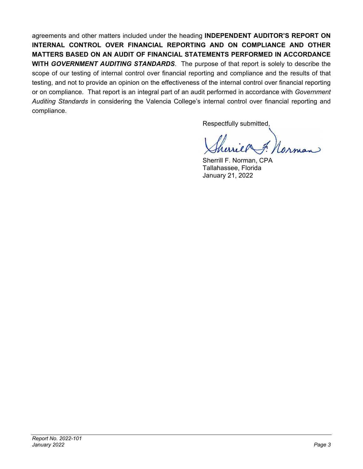agreements and other matters included under the heading **INDEPENDENT AUDITOR'S REPORT ON INTERNAL CONTROL OVER FINANCIAL REPORTING AND ON COMPLIANCE AND OTHER MATTERS BASED ON AN AUDIT OF FINANCIAL STATEMENTS PERFORMED IN ACCORDANCE WITH** *GOVERNMENT AUDITING STANDARDS*. The purpose of that report is solely to describe the scope of our testing of internal control over financial reporting and compliance and the results of that testing, and not to provide an opinion on the effectiveness of the internal control over financial reporting or on compliance. That report is an integral part of an audit performed in accordance with *Government Auditing Standards* in considering the Valencia College's internal control over financial reporting and compliance.

Respectfully submitted,

Sherrill F. Norman, CPA Tallahassee, Florida January 21, 2022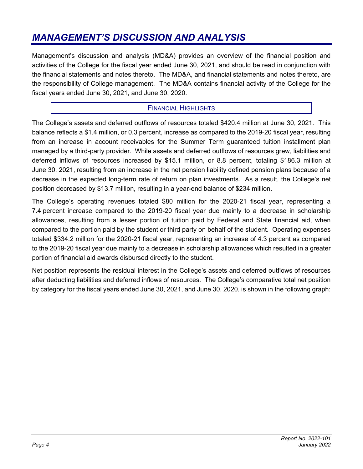# <span id="page-7-0"></span>*MANAGEMENT'S DISCUSSION AND ANALYSIS*

Management's discussion and analysis (MD&A) provides an overview of the financial position and activities of the College for the fiscal year ended June 30, 2021, and should be read in conjunction with the financial statements and notes thereto. The MD&A, and financial statements and notes thereto, are the responsibility of College management. The MD&A contains financial activity of the College for the fiscal years ended June 30, 2021, and June 30, 2020.

## FINANCIAL HIGHLIGHTS

The College's assets and deferred outflows of resources totaled \$420.4 million at June 30, 2021. This balance reflects a \$1.4 million, or 0.3 percent, increase as compared to the 2019-20 fiscal year, resulting from an increase in account receivables for the Summer Term guaranteed tuition installment plan managed by a third-party provider. While assets and deferred outflows of resources grew, liabilities and deferred inflows of resources increased by \$15.1 million, or 8.8 percent, totaling \$186.3 million at June 30, 2021, resulting from an increase in the net pension liability defined pension plans because of a decrease in the expected long-term rate of return on plan investments. As a result, the College's net position decreased by \$13.7 million, resulting in a year-end balance of \$234 million.

The College's operating revenues totaled \$80 million for the 2020-21 fiscal year, representing a 7.4 percent increase compared to the 2019-20 fiscal year due mainly to a decrease in scholarship allowances, resulting from a lesser portion of tuition paid by Federal and State financial aid, when compared to the portion paid by the student or third party on behalf of the student. Operating expenses totaled \$334.2 million for the 2020-21 fiscal year, representing an increase of 4.3 percent as compared to the 2019-20 fiscal year due mainly to a decrease in scholarship allowances which resulted in a greater portion of financial aid awards disbursed directly to the student.

Net position represents the residual interest in the College's assets and deferred outflows of resources after deducting liabilities and deferred inflows of resources. The College's comparative total net position by category for the fiscal years ended June 30, 2021, and June 30, 2020, is shown in the following graph: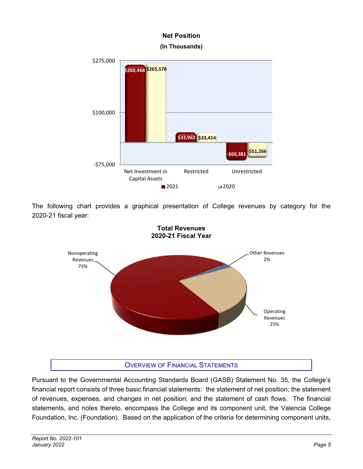## **Net Position (In Thousands)**



The following chart provides a graphical presentation of College revenues by category for the 2020-21 fiscal year:



## OVERVIEW OF FINANCIAL STATEMENTS

Pursuant to the Governmental Accounting Standards Board (GASB) Statement No. 35, the College's financial report consists of three basic financial statements: the statement of net position; the statement of revenues, expenses, and changes in net position; and the statement of cash flows. The financial statements, and notes thereto, encompass the College and its component unit, the Valencia College Foundation, Inc. (Foundation). Based on the application of the criteria for determining component units,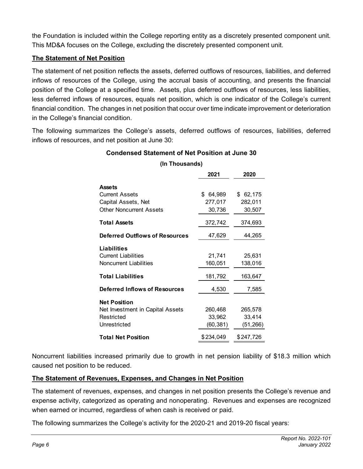the Foundation is included within the College reporting entity as a discretely presented component unit. This MD&A focuses on the College, excluding the discretely presented component unit.

## **The Statement of Net Position**

The statement of net position reflects the assets, deferred outflows of resources, liabilities, and deferred inflows of resources of the College, using the accrual basis of accounting, and presents the financial position of the College at a specified time. Assets, plus deferred outflows of resources, less liabilities, less deferred inflows of resources, equals net position, which is one indicator of the College's current financial condition. The changes in net position that occur over time indicate improvement or deterioration in the College's financial condition.

The following summarizes the College's assets, deferred outflows of resources, liabilities, deferred inflows of resources, and net position at June 30:

|                                       | 2021         | 2020         |
|---------------------------------------|--------------|--------------|
| Assets                                |              |              |
| <b>Current Assets</b>                 | 64,989<br>\$ | 62,175<br>\$ |
| Capital Assets, Net                   | 277,017      | 282,011      |
| <b>Other Noncurrent Assets</b>        | 30,736       | 30,507       |
| <b>Total Assets</b>                   | 372,742      | 374,693      |
| <b>Deferred Outflows of Resources</b> | 47,629       | 44,265       |
| Liabilities                           |              |              |
| <b>Current Liabilities</b>            | 21,741       | 25,631       |
| <b>Noncurrent Liabilities</b>         | 160,051      | 138,016      |
| Total Liabilities                     | 181,792      | 163,647      |
| Deferred Inflows of Resources         | 4,530        | 7,585        |
| <b>Net Position</b>                   |              |              |
| Net Investment in Capital Assets      | 260,468      | 265,578      |
| Restricted                            | 33,962       | 33,414       |
| Unrestricted                          | (60, 381)    | (51, 266)    |
| Total Net Position                    | \$234,049    | \$247,726    |

**Condensed Statement of Net Position at June 30** 

**(In Thousands)** 

Noncurrent liabilities increased primarily due to growth in net pension liability of \$18.3 million which caused net position to be reduced.

## **The Statement of Revenues, Expenses, and Changes in Net Position**

The statement of revenues, expenses, and changes in net position presents the College's revenue and expense activity, categorized as operating and nonoperating. Revenues and expenses are recognized when earned or incurred, regardless of when cash is received or paid.

The following summarizes the College's activity for the 2020-21 and 2019-20 fiscal years: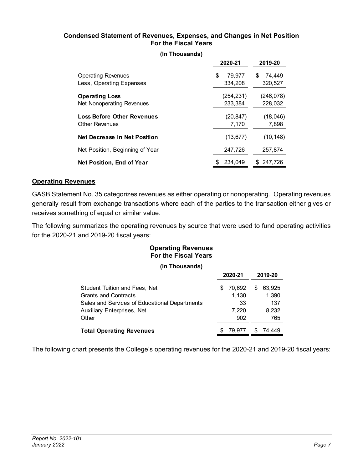### **Condensed Statement of Revenues, Expenses, and Changes in Net Position For the Fiscal Years**

|                                                       | 2020-21                 | 2019-20                 |
|-------------------------------------------------------|-------------------------|-------------------------|
| <b>Operating Revenues</b><br>Less, Operating Expenses | \$<br>79,977<br>334.208 | 74.449<br>\$<br>320,527 |
| <b>Operating Loss</b><br>Net Nonoperating Revenues    | (254, 231)<br>233.384   | (246, 078)<br>228,032   |
| Loss Before Other Revenues<br>Other Revenues          | (20, 847)<br>7,170      | (18,046)<br>7,898       |
| Net Decrease In Net Position                          | (13, 677)               | (10,148)                |
| Net Position, Beginning of Year                       | 247,726                 | 257,874                 |
| Net Position, End of Year                             | 234.049<br>S            | \$247.726               |

### **(In Thousands)**

#### **Operating Revenues**

GASB Statement No. 35 categorizes revenues as either operating or nonoperating. Operating revenues generally result from exchange transactions where each of the parties to the transaction either gives or receives something of equal or similar value.

The following summarizes the operating revenues by source that were used to fund operating activities for the 2020-21 and 2019-20 fiscal years:

## **Operating Revenues For the Fiscal Years**

#### **(In Thousands)**

|                                               | 2020-21 |        | 2019-20 |        |
|-----------------------------------------------|---------|--------|---------|--------|
| Student Tuition and Fees, Net                 | \$.     | 70.692 | \$.     | 63.925 |
| Grants and Contracts                          |         | 1,130  |         | 1,390  |
| Sales and Services of Educational Departments |         | 33     |         | 137    |
| Auxiliary Enterprises, Net                    |         | 7,220  |         | 8,232  |
| Other                                         |         | 902    |         | 765    |
| <b>Total Operating Revenues</b>               | S       | 79.977 | S       | 74,449 |

The following chart presents the College's operating revenues for the 2020-21 and 2019-20 fiscal years: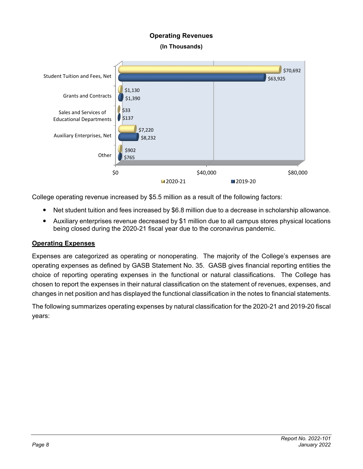

College operating revenue increased by \$5.5 million as a result of the following factors:

- Net student tuition and fees increased by \$6.8 million due to a decrease in scholarship allowance.
- Auxiliary enterprises revenue decreased by \$1 million due to all campus stores physical locations being closed during the 2020-21 fiscal year due to the coronavirus pandemic.

#### **Operating Expenses**

Expenses are categorized as operating or nonoperating. The majority of the College's expenses are operating expenses as defined by GASB Statement No. 35. GASB gives financial reporting entities the choice of reporting operating expenses in the functional or natural classifications. The College has chosen to report the expenses in their natural classification on the statement of revenues, expenses, and changes in net position and has displayed the functional classification in the notes to financial statements.

The following summarizes operating expenses by natural classification for the 2020-21 and 2019-20 fiscal years: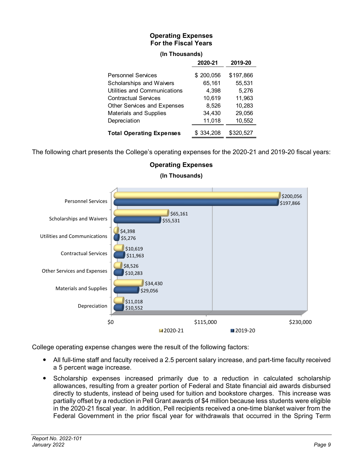## **Operating Expenses For the Fiscal Years**

#### **(In Thousands)**

|                                                       | 2020-21             | 2019-20             |
|-------------------------------------------------------|---------------------|---------------------|
| <b>Personnel Services</b><br>Scholarships and Waivers | \$200,056<br>65,161 | \$197,866<br>55,531 |
| Utilities and Communications                          | 4,398               | 5,276               |
| <b>Contractual Services</b>                           | 10,619              | 11,963              |
| <b>Other Services and Expenses</b>                    | 8,526               | 10,283              |
| <b>Materials and Supplies</b>                         | 34,430              | 29,056              |
| Depreciation                                          | 11,018              | 10,552              |
| <b>Total Operating Expenses</b>                       | \$334,208           | \$320,527           |

The following chart presents the College's operating expenses for the 2020-21 and 2019-20 fiscal years:



# **Operating Expenses**

**(In Thousands)** 

College operating expense changes were the result of the following factors:

- All full-time staff and faculty received a 2.5 percent salary increase, and part-time faculty received a 5 percent wage increase.
- Scholarship expenses increased primarily due to a reduction in calculated scholarship allowances, resulting from a greater portion of Federal and State financial aid awards disbursed directly to students, instead of being used for tuition and bookstore charges. This increase was partially offset by a reduction in Pell Grant awards of \$4 million because less students were eligible in the 2020-21 fiscal year. In addition, Pell recipients received a one-time blanket waiver from the Federal Government in the prior fiscal year for withdrawals that occurred in the Spring Term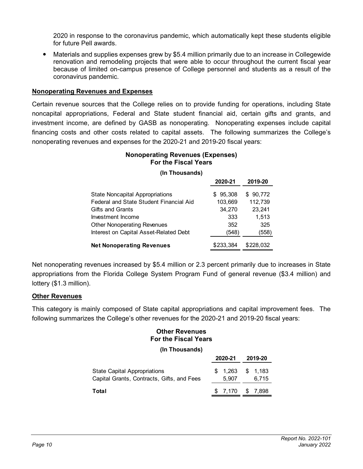2020 in response to the coronavirus pandemic, which automatically kept these students eligible for future Pell awards.

 Materials and supplies expenses grew by \$5.4 million primarily due to an increase in Collegewide renovation and remodeling projects that were able to occur throughout the current fiscal year because of limited on-campus presence of College personnel and students as a result of the coronavirus pandemic.

#### **Nonoperating Revenues and Expenses**

Certain revenue sources that the College relies on to provide funding for operations, including State noncapital appropriations, Federal and State student financial aid, certain gifts and grants, and investment income, are defined by GASB as nonoperating. Nonoperating expenses include capital financing costs and other costs related to capital assets. The following summarizes the College's nonoperating revenues and expenses for the 2020-21 and 2019-20 fiscal years:

#### **Nonoperating Revenues (Expenses) For the Fiscal Years**

**(In Thousands)** 

|                                                | 2020-21      | 2019-20   |
|------------------------------------------------|--------------|-----------|
| <b>State Noncapital Appropriations</b>         | 95,308<br>S. | \$90,772  |
| <b>Federal and State Student Financial Aid</b> | 103,669      | 112,739   |
| Gifts and Grants                               | 34,270       | 23,241    |
| Investment Income                              | 333          | 1,513     |
| <b>Other Nonoperating Revenues</b>             | 352          | 325       |
| Interest on Capital Asset-Related Debt         | (548)        | (558)     |
| <b>Net Nonoperating Revenues</b>               | \$233,384    | \$228,032 |

Net nonoperating revenues increased by \$5.4 million or 2.3 percent primarily due to increases in State appropriations from the Florida College System Program Fund of general revenue (\$3.4 million) and lottery (\$1.3 million).

#### **Other Revenues**

This category is mainly composed of State capital appropriations and capital improvement fees. The following summarizes the College's other revenues for the 2020-21 and 2019-20 fiscal years:

### **Other Revenues For the Fiscal Years**

#### **(In Thousands)**

**2020-21 2019-20**

|                                                                                   | ZUZU-Z I                   | 2013-20 |
|-----------------------------------------------------------------------------------|----------------------------|---------|
| <b>State Capital Appropriations</b><br>Capital Grants, Contracts, Gifts, and Fees | $$1.263$ $$1.183$<br>5.907 | 6.715   |
| Total                                                                             | $$7,170$ $$7,898$          |         |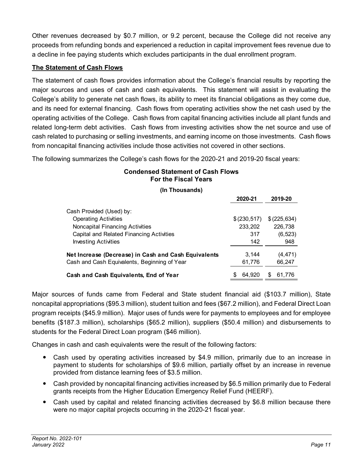Other revenues decreased by \$0.7 million, or 9.2 percent, because the College did not receive any proceeds from refunding bonds and experienced a reduction in capital improvement fees revenue due to a decline in fee paying students which excludes participants in the dual enrollment program.

## **The Statement of Cash Flows**

The statement of cash flows provides information about the College's financial results by reporting the major sources and uses of cash and cash equivalents. This statement will assist in evaluating the College's ability to generate net cash flows, its ability to meet its financial obligations as they come due, and its need for external financing. Cash flows from operating activities show the net cash used by the operating activities of the College. Cash flows from capital financing activities include all plant funds and related long-term debt activities. Cash flows from investing activities show the net source and use of cash related to purchasing or selling investments, and earning income on those investments. Cash flows from noncapital financing activities include those activities not covered in other sections.

The following summarizes the College's cash flows for the 2020-21 and 2019-20 fiscal years:

#### **Condensed Statement of Cash Flows For the Fiscal Years**

|                                                      | 2020-21 |             |   | 2019-20     |
|------------------------------------------------------|---------|-------------|---|-------------|
| Cash Provided (Used) by:                             |         |             |   |             |
| <b>Operating Activities</b>                          |         | \$(230,517) |   | \$(225,634) |
| <b>Noncapital Financing Activities</b>               |         | 233,202     |   | 226,738     |
| Capital and Related Financing Activities             |         | 317         |   | (6, 523)    |
| <b>Investing Activities</b>                          |         | 142         |   | 948         |
| Net Increase (Decrease) in Cash and Cash Equivalents |         | 3.144       |   | (4, 471)    |
| Cash and Cash Equivalents, Beginning of Year         |         | 61,776      |   | 66,247      |
| Cash and Cash Equivalents, End of Year               | S       | 64.920      | S | 61.776      |

#### **(In Thousands)**

Major sources of funds came from Federal and State student financial aid (\$103.7 million), State noncapital appropriations (\$95.3 million), student tuition and fees (\$67.2 million), and Federal Direct Loan program receipts (\$45.9 million). Major uses of funds were for payments to employees and for employee benefits (\$187.3 million), scholarships (\$65.2 million), suppliers (\$50.4 million) and disbursements to students for the Federal Direct Loan program (\$46 million).

Changes in cash and cash equivalents were the result of the following factors:

- Cash used by operating activities increased by \$4.9 million, primarily due to an increase in payment to students for scholarships of \$9.6 million, partially offset by an increase in revenue provided from distance learning fees of \$3.5 million.
- Cash provided by noncapital financing activities increased by \$6.5 million primarily due to Federal grants receipts from the Higher Education Emergency Relief Fund (HEERF).
- Cash used by capital and related financing activities decreased by \$6.8 million because there were no major capital projects occurring in the 2020-21 fiscal year.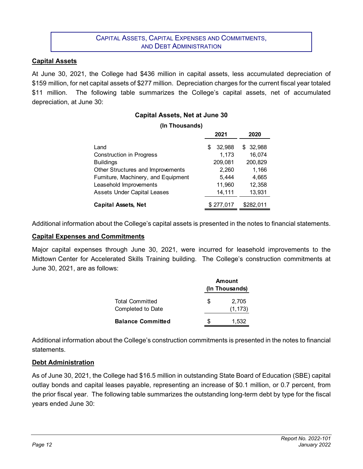### CAPITAL ASSETS, CAPITAL EXPENSES AND COMMITMENTS, AND DEBT ADMINISTRATION

## **Capital Assets**

At June 30, 2021, the College had \$436 million in capital assets, less accumulated depreciation of \$159 million, for net capital assets of \$277 million. Depreciation charges for the current fiscal year totaled \$11 million. The following table summarizes the College's capital assets, net of accumulated depreciation, at June 30:

#### **Capital Assets, Net at June 30**

#### **(In Thousands)**

|                                                                                                  | 2021                                     | 2020                                   |  |
|--------------------------------------------------------------------------------------------------|------------------------------------------|----------------------------------------|--|
| Land<br><b>Construction in Progress</b><br><b>Buildings</b><br>Other Structures and Improvements | 32,988<br>S<br>1,173<br>209,081<br>2,260 | \$32,988<br>16,074<br>200,829<br>1,166 |  |
| Furniture, Machinery, and Equipment                                                              | 5,444                                    | 4,665                                  |  |
| Leasehold Improvements                                                                           | 11,960                                   | 12,358                                 |  |
| <b>Assets Under Capital Leases</b>                                                               | 14,111                                   | 13,931                                 |  |
| <b>Capital Assets, Net</b>                                                                       | \$277,017                                | \$282,011                              |  |

Additional information about the College's capital assets is presented in the notes to financial statements.

#### **Capital Expenses and Commitments**

Major capital expenses through June 30, 2021, were incurred for leasehold improvements to the Midtown Center for Accelerated Skills Training building. The College's construction commitments at June 30, 2021, are as follows:

|                                      |    | Amount<br>(In Thousands) |  |  |
|--------------------------------------|----|--------------------------|--|--|
| Total Committed<br>Completed to Date | S  | 2,705<br>(1, 173)        |  |  |
| <b>Balance Committed</b>             | \$ | 1,532                    |  |  |

Additional information about the College's construction commitments is presented in the notes to financial statements.

#### **Debt Administration**

As of June 30, 2021, the College had \$16.5 million in outstanding State Board of Education (SBE) capital outlay bonds and capital leases payable, representing an increase of \$0.1 million, or 0.7 percent, from the prior fiscal year. The following table summarizes the outstanding long-term debt by type for the fiscal years ended June 30: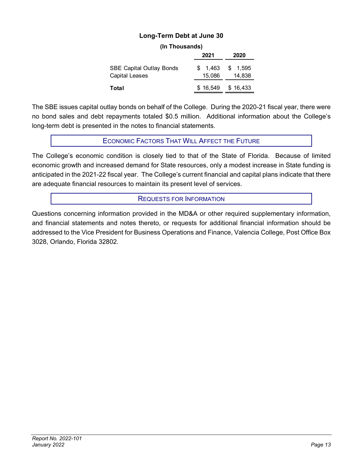## **Long-Term Debt at June 30**

## **(In Thousands)**

|                                                   | 2021   | 2020                        |
|---------------------------------------------------|--------|-----------------------------|
| <b>SBE Capital Outlay Bonds</b><br>Capital Leases | 15,086 | $$1,463$ $$1,595$<br>14,838 |
| Total                                             |        | $$16,549$ $$16,433$         |

The SBE issues capital outlay bonds on behalf of the College. During the 2020-21 fiscal year, there were no bond sales and debt repayments totaled \$0.5 million. Additional information about the College's long-term debt is presented in the notes to financial statements.

ECONOMIC FACTORS THAT WILL AFFECT THE FUTURE

The College's economic condition is closely tied to that of the State of Florida. Because of limited economic growth and increased demand for State resources, only a modest increase in State funding is anticipated in the 2021-22 fiscal year. The College's current financial and capital plans indicate that there are adequate financial resources to maintain its present level of services.

## REQUESTS FOR INFORMATION

Questions concerning information provided in the MD&A or other required supplementary information, and financial statements and notes thereto, or requests for additional financial information should be addressed to the Vice President for Business Operations and Finance, Valencia College, Post Office Box 3028, Orlando, Florida 32802.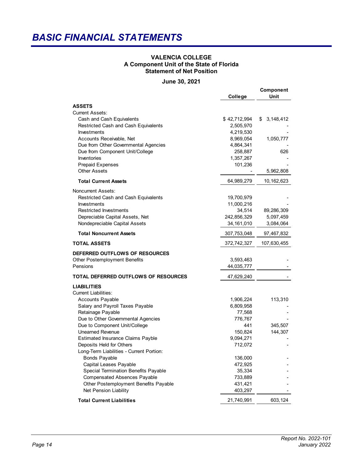# <span id="page-17-0"></span>*BASIC FINANCIAL STATEMENTS*

#### **VALENCIA COLLEGE A Component Unit of the State of Florida Statement of Net Position**

### **June 30, 2021**

|                                                                      | College      | Component<br>Unit |
|----------------------------------------------------------------------|--------------|-------------------|
| <b>ASSETS</b>                                                        |              |                   |
| Current Assets:                                                      |              |                   |
| Cash and Cash Equivalents                                            | \$42,712,994 | \$3,148,412       |
| Restricted Cash and Cash Equivalents                                 | 2,505,970    |                   |
| <b>Investments</b>                                                   | 4,219,530    |                   |
| Accounts Receivable, Net                                             | 8,969,054    | 1,050,777         |
| Due from Other Governmental Agencies                                 | 4,864,341    |                   |
| Due from Component Unit/College                                      | 258,887      | 626               |
| Inventories                                                          | 1,357,267    |                   |
| <b>Prepaid Expenses</b>                                              | 101,236      |                   |
| <b>Other Assets</b>                                                  |              | 5,962,808         |
| <b>Total Current Assets</b>                                          | 64,989,279   | 10,162,623        |
| <b>Noncurrent Assets:</b>                                            |              |                   |
| Restricted Cash and Cash Equivalents                                 | 19,700,979   |                   |
| Investments                                                          | 11,000,216   |                   |
| <b>Restricted Investments</b>                                        | 34,514       | 89,286,309        |
| Depreciable Capital Assets, Net                                      | 242,856,329  | 5,097,459         |
| Nondepreciable Capital Assets                                        | 34, 161, 010 | 3,084,064         |
| <b>Total Noncurrent Assets</b>                                       | 307,753,048  | 97,467,832        |
| TOTAL ASSETS                                                         | 372,742,327  | 107,630,455       |
| DEFERRED OUTFLOWS OF RESOURCES                                       |              |                   |
| <b>Other Postemployment Benefits</b>                                 | 3,593,463    |                   |
| Pensions                                                             | 44,035,777   |                   |
| TOTAL DEFERRED OUTFLOWS OF RESOURCES                                 | 47,629,240   |                   |
| LIABILITIES                                                          |              |                   |
| <b>Current Liabilities:</b>                                          |              |                   |
| <b>Accounts Payable</b>                                              | 1,906,224    | 113,310           |
| Salary and Payroll Taxes Payable                                     | 6,809,958    |                   |
| Retainage Payable                                                    | 77,568       |                   |
| Due to Other Governmental Agencies                                   | 776,767      |                   |
| Due to Component Unit/College                                        | 441          | 345,507           |
| <b>Unearned Revenue</b>                                              | 150,824      | 144,307           |
| <b>Estimated Insurance Claims Payble</b>                             | 9,094,271    |                   |
| Deposits Held for Others<br>Long-Term Liabilities - Current Portion: | 712,072      |                   |
| <b>Bonds Payable</b>                                                 | 136,000      |                   |
| Capital Leases Payable                                               | 472,925      |                   |
| Special Termination Benefits Payable                                 | 35,334       |                   |
| <b>Compensated Absences Payable</b>                                  | 733,889      |                   |
| Other Postemployment Benefits Payable                                | 431,421      |                   |
| Net Pension Liability                                                | 403,297      |                   |
| <b>Total Current Liabilities</b>                                     | 21,740,991   | 603,124           |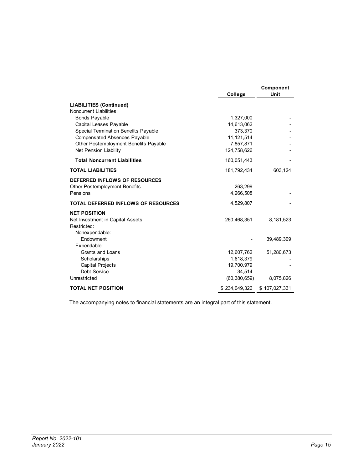|                                       |                | Component     |
|---------------------------------------|----------------|---------------|
|                                       | College        | Unit          |
| <b>LIABILITIES (Continued)</b>        |                |               |
| Noncurrent Liabilities:               |                |               |
| <b>Bonds Payable</b>                  | 1,327,000      |               |
| Capital Leases Payable                | 14,613,062     |               |
| Special Termination Benefits Payable  | 373,370        |               |
| <b>Compensated Absences Payable</b>   | 11,121,514     |               |
| Other Postemployment Benefits Payable | 7,857,871      |               |
| Net Pension Liability                 | 124,758,626    |               |
| <b>Total Noncurrent Liabilities</b>   | 160,051,443    |               |
| <b>TOTAL LIABILITIES</b>              | 181,792,434    | 603,124       |
| DEFERRED INFLOWS OF RESOURCES         |                |               |
| <b>Other Postemployment Benefits</b>  | 263,299        |               |
| Pensions                              | 4,266,508      |               |
| TOTAL DEFERRED INFLOWS OF RESOURCES   | 4,529,807      |               |
| <b>NET POSITION</b>                   |                |               |
| Net Investment in Capital Assets      | 260,468,351    | 8,181,523     |
| Restricted:                           |                |               |
| Nonexpendable:                        |                |               |
| Endowment                             |                | 39,489,309    |
| Expendable:                           |                |               |
| Grants and Loans                      | 12,607,762     | 51,280,673    |
| Scholarships                          | 1,618,379      |               |
| <b>Capital Projects</b>               | 19,700,979     |               |
| Debt Service                          | 34.514         |               |
| Unrestricted                          | (60, 380, 659) | 8,075,826     |
| <b>TOTAL NET POSITION</b>             | \$234,049,326  | \$107,027,331 |

The accompanying notes to financial statements are an integral part of this statement.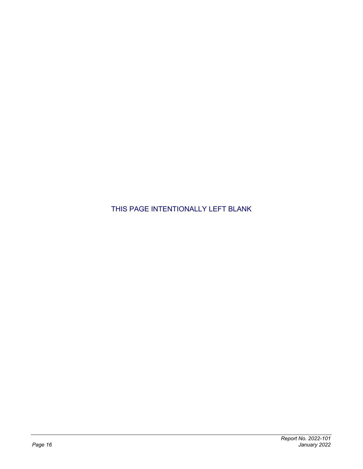THIS PAGE INTENTIONALLY LEFT BLANK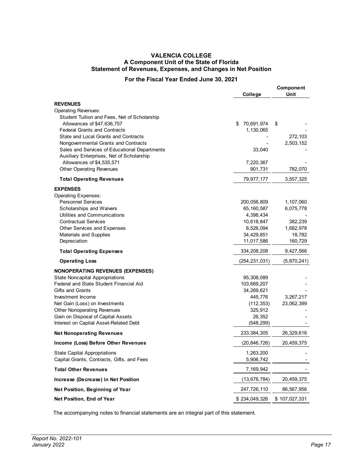#### **VALENCIA COLLEGE A Component Unit of the State of Florida Statement of Revenues, Expenses, and Changes in Net Position**

#### **For the Fiscal Year Ended June 30, 2021**

<span id="page-20-0"></span>

|                                               |                  | Component     |
|-----------------------------------------------|------------------|---------------|
|                                               | College          | Unit          |
| <b>REVENUES</b>                               |                  |               |
| <b>Operating Revenues:</b>                    |                  |               |
| Student Tuition and Fees, Net of Scholarship  |                  |               |
| Allowances of \$47,636,757                    | 70,691,974<br>\$ | \$            |
| <b>Federal Grants and Contracts</b>           | 1,130,065        |               |
| State and Local Grants and Contracts          |                  | 272,103       |
| Nongovernmental Grants and Contracts          |                  | 2,503,152     |
| Sales and Services of Educational Departments | 33,040           |               |
| Auxiliary Enterprises, Net of Scholarship     |                  |               |
| Allowances of \$4,535,571                     | 7,220,367        |               |
| <b>Other Operating Revenues</b>               | 901,731          | 782,070       |
| <b>Total Operating Revenues</b>               | 79,977,177       | 3,557,325     |
| <b>EXPENSES</b>                               |                  |               |
| <b>Operating Expenses:</b>                    |                  |               |
| <b>Personnel Services</b>                     | 200,056,809      | 1,107,060     |
| Scholarships and Waivers                      | 65, 160, 587     | 6,075,778     |
| Utilities and Communications                  | 4,398,434        |               |
| <b>Contractual Services</b>                   | 10,618,847       | 382,239       |
| Other Services and Expenses                   | 8,526,094        | 1,682,978     |
| <b>Materials and Supplies</b>                 | 34,429,851       | 18,782        |
| Depreciation                                  | 11,017,586       | 160,729       |
| <b>Total Operating Expenses</b>               | 334,208,208      | 9,427,566     |
| <b>Operating Loss</b>                         | (254,231,031)    | (5,870,241)   |
| <b>NONOPERATING REVENUES (EXPENSES)</b>       |                  |               |
| <b>State Noncapital Appropriations</b>        | 95,308,089       |               |
| Federal and State Student Financial Aid       | 103,669,207      |               |
| Gifts and Grants                              | 34,269,621       |               |
| Investment Income                             | 445,776          | 3,267,217     |
| Net Gain (Loss) on Investments                | (112, 353)       | 23,062,399    |
| <b>Other Nonoperating Revenues</b>            | 325,912          |               |
| Gain on Disposal of Capital Assets            | 26,352           |               |
| Interest on Capital Asset-Related Debt        | (548, 299)       |               |
| <b>Net Nonoperating Revenues</b>              | 233, 384, 305    | 26,329,616    |
| Income (Loss) Before Other Revenues           | (20, 846, 726)   | 20,459,375    |
| <b>State Capital Appropriations</b>           | 1,263,200        |               |
| Capital Grants, Contracts, Gifts, and Fees    | 5,906,742        |               |
| <b>Total Other Revenues</b>                   | 7,169,942        |               |
| Increase (Decrease) in Net Position           | (13, 676, 784)   | 20,459,375    |
| Net Position, Beginning of Year               | 247,726,110      | 86,567,956    |
| Net Position, End of Year                     | \$234,049,326    | \$107,027,331 |

The accompanying notes to financial statements are an integral part of this statement.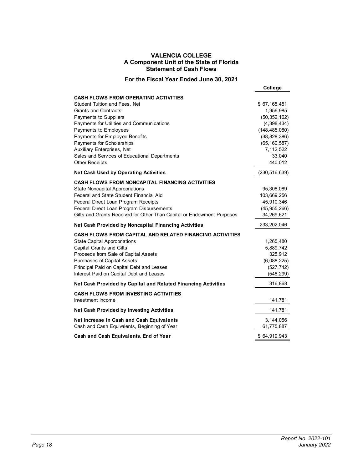#### **VALENCIA COLLEGE A Component Unit of the State of Florida Statement of Cash Flows**

### **For the Fiscal Year Ended June 30, 2021**

<span id="page-21-0"></span>

|                                                                        | College         |
|------------------------------------------------------------------------|-----------------|
| <b>CASH FLOWS FROM OPERATING ACTIVITIES</b>                            |                 |
| <b>Student Tuition and Fees, Net</b>                                   | \$67,165,451    |
| <b>Grants and Contracts</b>                                            | 1,956,985       |
| <b>Payments to Suppliers</b>                                           | (50, 352, 162)  |
| Payments for Utilities and Communications                              | (4,398,434)     |
| Payments to Employees                                                  | (148, 485, 080) |
| Payments for Employee Benefits                                         | (38, 828, 386)  |
| Payments for Scholarships                                              | (65, 160, 587)  |
| Auxiliary Enterprises, Net                                             | 7,112,522       |
| Sales and Services of Educational Departments                          | 33,040          |
| <b>Other Receipts</b>                                                  | 440,012         |
| <b>Net Cash Used by Operating Activities</b>                           | (230, 516, 639) |
| <b>CASH FLOWS FROM NONCAPITAL FINANCING ACTIVITIES</b>                 |                 |
| <b>State Noncapital Appropriations</b>                                 | 95,308,089      |
| Federal and State Student Financial Aid                                | 103,669,256     |
| Federal Direct Loan Program Receipts                                   | 45,910,346      |
| Federal Direct Loan Program Disbursements                              | (45, 955, 266)  |
| Gifts and Grants Received for Other Than Capital or Endowment Purposes | 34,269,621      |
| Net Cash Provided by Noncapital Financing Activities                   | 233,202,046     |
| <b>CASH FLOWS FROM CAPITAL AND RELATED FINANCING ACTIVITIES</b>        |                 |
| <b>State Capital Appropriations</b>                                    | 1,265,480       |
| Capital Grants and Gifts                                               | 5,889,742       |
| Proceeds from Sale of Capital Assets                                   | 325,912         |
| <b>Purchases of Capital Assets</b>                                     | (6,088,225)     |
| Principal Paid on Capital Debt and Leases                              | (527, 742)      |
| Interest Paid on Capital Debt and Leases                               | (548, 299)      |
| Net Cash Provided by Capital and Related Financing Activities          | 316,868         |
| <b>CASH FLOWS FROM INVESTING ACTIVITIES</b>                            |                 |
| Investment Income                                                      | 141,781         |
| Net Cash Provided by Investing Activities                              | 141,781         |
| Net Increase in Cash and Cash Equivalents                              | 3,144,056       |
| Cash and Cash Equivalents, Beginning of Year                           | 61,775,887      |
| Cash and Cash Equivalents, End of Year                                 | \$64,919,943    |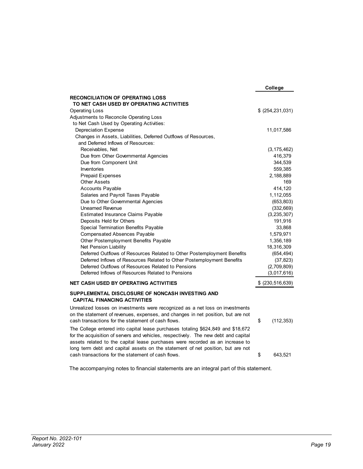|                                                                                                                                                                                                                                                                                                                                             | College            |
|---------------------------------------------------------------------------------------------------------------------------------------------------------------------------------------------------------------------------------------------------------------------------------------------------------------------------------------------|--------------------|
| <b>RECONCILIATION OF OPERATING LOSS</b>                                                                                                                                                                                                                                                                                                     |                    |
| TO NET CASH USED BY OPERATING ACTIVITIES                                                                                                                                                                                                                                                                                                    |                    |
| <b>Operating Loss</b>                                                                                                                                                                                                                                                                                                                       | \$ (254, 231, 031) |
| Adjustments to Reconcile Operating Loss                                                                                                                                                                                                                                                                                                     |                    |
| to Net Cash Used by Operating Activities:                                                                                                                                                                                                                                                                                                   |                    |
| Depreciation Expense                                                                                                                                                                                                                                                                                                                        | 11,017,586         |
| Changes in Assets, Liabilities, Deferred Outflows of Resources,                                                                                                                                                                                                                                                                             |                    |
| and Deferred Inflows of Resources:                                                                                                                                                                                                                                                                                                          |                    |
| Receivables, Net                                                                                                                                                                                                                                                                                                                            | (3, 175, 462)      |
| Due from Other Governmental Agencies                                                                                                                                                                                                                                                                                                        | 416,379            |
| Due from Component Unit                                                                                                                                                                                                                                                                                                                     | 344,539            |
| Inventories                                                                                                                                                                                                                                                                                                                                 | 559,385            |
| <b>Prepaid Expenses</b>                                                                                                                                                                                                                                                                                                                     | 2,188,889          |
| <b>Other Assets</b>                                                                                                                                                                                                                                                                                                                         | 169                |
| <b>Accounts Payable</b>                                                                                                                                                                                                                                                                                                                     | 414,120            |
| Salaries and Payroll Taxes Payable                                                                                                                                                                                                                                                                                                          | 1,112,055          |
| Due to Other Governmental Agencies                                                                                                                                                                                                                                                                                                          | (653, 803)         |
| <b>Unearned Revenue</b>                                                                                                                                                                                                                                                                                                                     | (332, 669)         |
| <b>Estimated Insurance Claims Payable</b>                                                                                                                                                                                                                                                                                                   | (3, 235, 307)      |
| Deposits Held for Others                                                                                                                                                                                                                                                                                                                    | 191,916            |
| Special Termination Benefits Payable                                                                                                                                                                                                                                                                                                        | 33,868             |
| <b>Compensated Absences Payable</b>                                                                                                                                                                                                                                                                                                         | 1,579,971          |
| Other Postemployment Benefits Payable                                                                                                                                                                                                                                                                                                       | 1,356,189          |
| Net Pension Liability                                                                                                                                                                                                                                                                                                                       | 18,316,309         |
| Deferred Outflows of Resources Related to Other Postemployment Benefits                                                                                                                                                                                                                                                                     | (654, 494)         |
| Deferred Inflows of Resources Related to Other Postemployment Benefits                                                                                                                                                                                                                                                                      | (37, 823)          |
| Deferred Outflows of Resources Related to Pensions                                                                                                                                                                                                                                                                                          | (2,709,809)        |
| Deferred Inflows of Resources Related to Pensions                                                                                                                                                                                                                                                                                           | (3,017,616)        |
| <b>NET CASH USED BY OPERATING ACTIVITIES</b>                                                                                                                                                                                                                                                                                                | \$ (230, 516, 639) |
| SUPPLEMENTAL DISCLOSURE OF NONCASH INVESTING AND<br><b>CAPITAL FINANCING ACTIVITIES</b>                                                                                                                                                                                                                                                     |                    |
| Unrealized losses on investments were recognized as a net loss on investments                                                                                                                                                                                                                                                               |                    |
| on the statement of revenues, expenses, and changes in net position, but are not<br>cash transactions for the statement of cash flows.                                                                                                                                                                                                      | \$<br>(112, 353)   |
| The College entered into capital lease purchases totaling \$624,849 and \$18,672<br>for the acquisition of servers and vehicles, respectively. The new debt and capital<br>assets related to the capital lease purchases were recorded as an increase to<br>long term debt and capital assets on the statement of net position, but are not |                    |
| cash transactions for the statement of cash flows.                                                                                                                                                                                                                                                                                          | \$<br>643,521      |

The accompanying notes to financial statements are an integral part of this statement.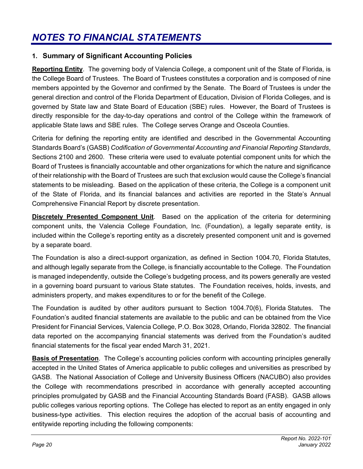# <span id="page-23-0"></span>*NOTES TO FINANCIAL STATEMENTS*

## **1. Summary of Significant Accounting Policies**

**Reporting Entity**. The governing body of Valencia College, a component unit of the State of Florida, is the College Board of Trustees. The Board of Trustees constitutes a corporation and is composed of nine members appointed by the Governor and confirmed by the Senate. The Board of Trustees is under the general direction and control of the Florida Department of Education, Division of Florida Colleges, and is governed by State law and State Board of Education (SBE) rules. However, the Board of Trustees is directly responsible for the day-to-day operations and control of the College within the framework of applicable State laws and SBE rules. The College serves Orange and Osceola Counties.

Criteria for defining the reporting entity are identified and described in the Governmental Accounting Standards Board's (GASB) *Codification of Governmental Accounting and Financial Reporting Standards*, Sections 2100 and 2600. These criteria were used to evaluate potential component units for which the Board of Trustees is financially accountable and other organizations for which the nature and significance of their relationship with the Board of Trustees are such that exclusion would cause the College's financial statements to be misleading. Based on the application of these criteria, the College is a component unit of the State of Florida, and its financial balances and activities are reported in the State's Annual Comprehensive Financial Report by discrete presentation.

**Discretely Presented Component Unit**. Based on the application of the criteria for determining component units, the Valencia College Foundation, Inc. (Foundation), a legally separate entity, is included within the College's reporting entity as a discretely presented component unit and is governed by a separate board.

The Foundation is also a direct-support organization, as defined in Section 1004.70, Florida Statutes, and although legally separate from the College, is financially accountable to the College. The Foundation is managed independently, outside the College's budgeting process, and its powers generally are vested in a governing board pursuant to various State statutes. The Foundation receives, holds, invests, and administers property, and makes expenditures to or for the benefit of the College.

The Foundation is audited by other auditors pursuant to Section 1004.70(6), Florida Statutes. The Foundation's audited financial statements are available to the public and can be obtained from the Vice President for Financial Services, Valencia College, P.O. Box 3028, Orlando, Florida 32802. The financial data reported on the accompanying financial statements was derived from the Foundation's audited financial statements for the fiscal year ended March 31, 2021.

**Basis of Presentation**. The College's accounting policies conform with accounting principles generally accepted in the United States of America applicable to public colleges and universities as prescribed by GASB. The National Association of College and University Business Officers (NACUBO) also provides the College with recommendations prescribed in accordance with generally accepted accounting principles promulgated by GASB and the Financial Accounting Standards Board (FASB). GASB allows public colleges various reporting options. The College has elected to report as an entity engaged in only business-type activities. This election requires the adoption of the accrual basis of accounting and entitywide reporting including the following components: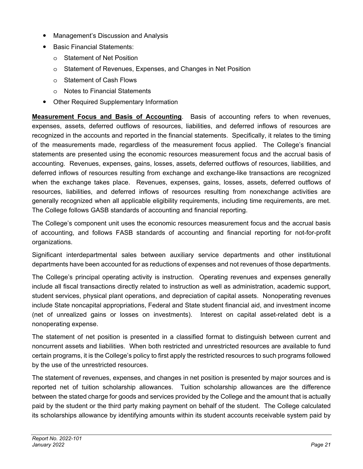- Management's Discussion and Analysis
- Basic Financial Statements:
	- o Statement of Net Position
	- o Statement of Revenues, Expenses, and Changes in Net Position
	- o Statement of Cash Flows
	- o Notes to Financial Statements
- Other Required Supplementary Information

**Measurement Focus and Basis of Accounting**. Basis of accounting refers to when revenues, expenses, assets, deferred outflows of resources, liabilities, and deferred inflows of resources are recognized in the accounts and reported in the financial statements. Specifically, it relates to the timing of the measurements made, regardless of the measurement focus applied. The College's financial statements are presented using the economic resources measurement focus and the accrual basis of accounting. Revenues, expenses, gains, losses, assets, deferred outflows of resources, liabilities, and deferred inflows of resources resulting from exchange and exchange-like transactions are recognized when the exchange takes place. Revenues, expenses, gains, losses, assets, deferred outflows of resources, liabilities, and deferred inflows of resources resulting from nonexchange activities are generally recognized when all applicable eligibility requirements, including time requirements, are met. The College follows GASB standards of accounting and financial reporting.

The College's component unit uses the economic resources measurement focus and the accrual basis of accounting, and follows FASB standards of accounting and financial reporting for not-for-profit organizations.

Significant interdepartmental sales between auxiliary service departments and other institutional departments have been accounted for as reductions of expenses and not revenues of those departments.

The College's principal operating activity is instruction. Operating revenues and expenses generally include all fiscal transactions directly related to instruction as well as administration, academic support, student services, physical plant operations, and depreciation of capital assets. Nonoperating revenues include State noncapital appropriations, Federal and State student financial aid, and investment income (net of unrealized gains or losses on investments). Interest on capital asset-related debt is a nonoperating expense.

The statement of net position is presented in a classified format to distinguish between current and noncurrent assets and liabilities. When both restricted and unrestricted resources are available to fund certain programs, it is the College's policy to first apply the restricted resources to such programs followed by the use of the unrestricted resources.

The statement of revenues, expenses, and changes in net position is presented by major sources and is reported net of tuition scholarship allowances. Tuition scholarship allowances are the difference between the stated charge for goods and services provided by the College and the amount that is actually paid by the student or the third party making payment on behalf of the student. The College calculated its scholarships allowance by identifying amounts within its student accounts receivable system paid by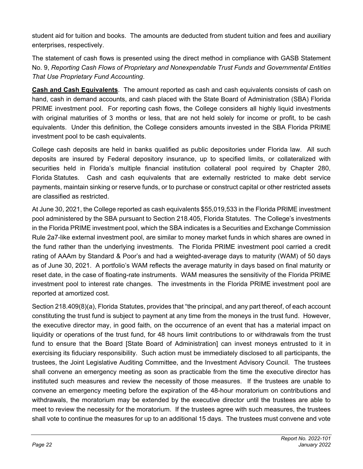student aid for tuition and books. The amounts are deducted from student tuition and fees and auxiliary enterprises, respectively.

The statement of cash flows is presented using the direct method in compliance with GASB Statement No. 9, *Reporting Cash Flows of Proprietary and Nonexpendable Trust Funds and Governmental Entities That Use Proprietary Fund Accounting*.

**Cash and Cash Equivalents**. The amount reported as cash and cash equivalents consists of cash on hand, cash in demand accounts, and cash placed with the State Board of Administration (SBA) Florida PRIME investment pool. For reporting cash flows, the College considers all highly liquid investments with original maturities of 3 months or less, that are not held solely for income or profit, to be cash equivalents. Under this definition, the College considers amounts invested in the SBA Florida PRIME investment pool to be cash equivalents.

College cash deposits are held in banks qualified as public depositories under Florida law. All such deposits are insured by Federal depository insurance, up to specified limits, or collateralized with securities held in Florida's multiple financial institution collateral pool required by Chapter 280, Florida Statutes. Cash and cash equivalents that are externally restricted to make debt service payments, maintain sinking or reserve funds, or to purchase or construct capital or other restricted assets are classified as restricted.

At June 30, 2021, the College reported as cash equivalents \$55,019,533 in the Florida PRIME investment pool administered by the SBA pursuant to Section 218.405, Florida Statutes. The College's investments in the Florida PRIME investment pool, which the SBA indicates is a Securities and Exchange Commission Rule 2a7-like external investment pool, are similar to money market funds in which shares are owned in the fund rather than the underlying investments. The Florida PRIME investment pool carried a credit rating of AAAm by Standard & Poor's and had a weighted-average days to maturity (WAM) of 50 days as of June 30, 2021. A portfolio's WAM reflects the average maturity in days based on final maturity or reset date, in the case of floating-rate instruments. WAM measures the sensitivity of the Florida PRIME investment pool to interest rate changes. The investments in the Florida PRIME investment pool are reported at amortized cost.

Section 218.409(8)(a), Florida Statutes, provides that "the principal, and any part thereof, of each account constituting the trust fund is subject to payment at any time from the moneys in the trust fund. However, the executive director may, in good faith, on the occurrence of an event that has a material impact on liquidity or operations of the trust fund, for 48 hours limit contributions to or withdrawals from the trust fund to ensure that the Board [State Board of Administration] can invest moneys entrusted to it in exercising its fiduciary responsibility. Such action must be immediately disclosed to all participants, the trustees, the Joint Legislative Auditing Committee, and the Investment Advisory Council. The trustees shall convene an emergency meeting as soon as practicable from the time the executive director has instituted such measures and review the necessity of those measures. If the trustees are unable to convene an emergency meeting before the expiration of the 48-hour moratorium on contributions and withdrawals, the moratorium may be extended by the executive director until the trustees are able to meet to review the necessity for the moratorium. If the trustees agree with such measures, the trustees shall vote to continue the measures for up to an additional 15 days. The trustees must convene and vote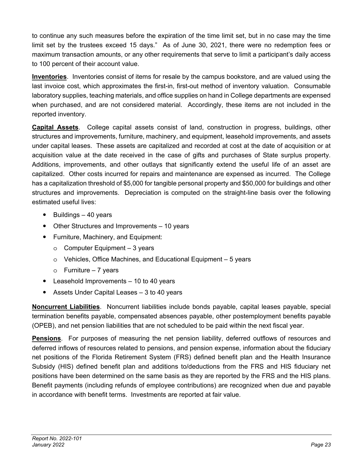to continue any such measures before the expiration of the time limit set, but in no case may the time limit set by the trustees exceed 15 days." As of June 30, 2021, there were no redemption fees or maximum transaction amounts, or any other requirements that serve to limit a participant's daily access to 100 percent of their account value.

**Inventories**. Inventories consist of items for resale by the campus bookstore, and are valued using the last invoice cost, which approximates the first-in, first-out method of inventory valuation. Consumable laboratory supplies, teaching materials, and office supplies on hand in College departments are expensed when purchased, and are not considered material. Accordingly, these items are not included in the reported inventory.

**Capital Assets**. College capital assets consist of land, construction in progress, buildings, other structures and improvements, furniture, machinery, and equipment, leasehold improvements, and assets under capital leases. These assets are capitalized and recorded at cost at the date of acquisition or at acquisition value at the date received in the case of gifts and purchases of State surplus property. Additions, improvements, and other outlays that significantly extend the useful life of an asset are capitalized. Other costs incurred for repairs and maintenance are expensed as incurred. The College has a capitalization threshold of \$5,000 for tangible personal property and \$50,000 for buildings and other structures and improvements. Depreciation is computed on the straight-line basis over the following estimated useful lives:

- $\bullet$  Buildings  $-$  40 years
- Other Structures and Improvements 10 years
- Furniture, Machinery, and Equipment:
	- $\circ$  Computer Equipment 3 years
	- o Vehicles, Office Machines, and Educational Equipment 5 years
	- $\circ$  Furniture 7 years
- Leasehold Improvements 10 to 40 years
- Assets Under Capital Leases 3 to 40 years

**Noncurrent Liabilities**. Noncurrent liabilities include bonds payable, capital leases payable, special termination benefits payable, compensated absences payable, other postemployment benefits payable (OPEB), and net pension liabilities that are not scheduled to be paid within the next fiscal year.

**Pensions**. For purposes of measuring the net pension liability, deferred outflows of resources and deferred inflows of resources related to pensions, and pension expense, information about the fiduciary net positions of the Florida Retirement System (FRS) defined benefit plan and the Health Insurance Subsidy (HIS) defined benefit plan and additions to/deductions from the FRS and HIS fiduciary net positions have been determined on the same basis as they are reported by the FRS and the HIS plans. Benefit payments (including refunds of employee contributions) are recognized when due and payable in accordance with benefit terms. Investments are reported at fair value.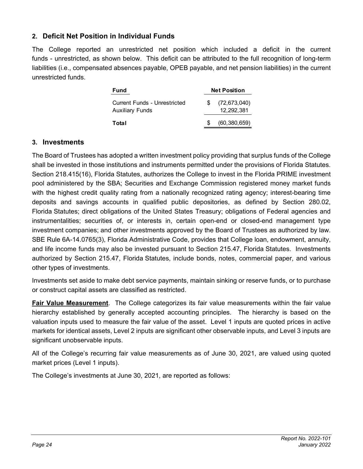## **2. Deficit Net Position in Individual Funds**

The College reported an unrestricted net position which included a deficit in the current funds - unrestricted, as shown below. This deficit can be attributed to the full recognition of long-term liabilities (i.e., compensated absences payable, OPEB payable, and net pension liabilities) in the current unrestricted funds.

| Fund                                                          | <b>Net Position</b>          |
|---------------------------------------------------------------|------------------------------|
| <b>Current Funds - Unrestricted</b><br><b>Auxiliary Funds</b> | (72, 673, 040)<br>12.292.381 |
| Total                                                         | (60, 380, 659)               |

## **3. Investments**

The Board of Trustees has adopted a written investment policy providing that surplus funds of the College shall be invested in those institutions and instruments permitted under the provisions of Florida Statutes. Section 218.415(16), Florida Statutes, authorizes the College to invest in the Florida PRIME investment pool administered by the SBA; Securities and Exchange Commission registered money market funds with the highest credit quality rating from a nationally recognized rating agency; interest-bearing time deposits and savings accounts in qualified public depositories, as defined by Section 280.02, Florida Statutes; direct obligations of the United States Treasury; obligations of Federal agencies and instrumentalities; securities of, or interests in, certain open-end or closed-end management type investment companies; and other investments approved by the Board of Trustees as authorized by law. SBE Rule 6A-14.0765(3), Florida Administrative Code, provides that College loan, endowment, annuity, and life income funds may also be invested pursuant to Section 215.47, Florida Statutes. Investments authorized by Section 215.47, Florida Statutes, include bonds, notes, commercial paper, and various other types of investments.

Investments set aside to make debt service payments, maintain sinking or reserve funds, or to purchase or construct capital assets are classified as restricted.

**Fair Value Measurement**. The College categorizes its fair value measurements within the fair value hierarchy established by generally accepted accounting principles. The hierarchy is based on the valuation inputs used to measure the fair value of the asset. Level 1 inputs are quoted prices in active markets for identical assets, Level 2 inputs are significant other observable inputs, and Level 3 inputs are significant unobservable inputs.

All of the College's recurring fair value measurements as of June 30, 2021, are valued using quoted market prices (Level 1 inputs).

The College's investments at June 30, 2021, are reported as follows: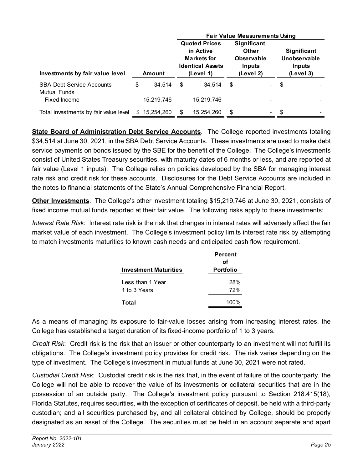|                                                                         |    |                      | <b>Fair Value Measurements Using</b>                                                            |                      |                                                                         |        |                                                    |  |
|-------------------------------------------------------------------------|----|----------------------|-------------------------------------------------------------------------------------------------|----------------------|-------------------------------------------------------------------------|--------|----------------------------------------------------|--|
| Investments by fair value level                                         |    | <b>Amount</b>        | <b>Quoted Prices</b><br>in Active<br><b>Markets for</b><br><b>Identical Assets</b><br>(Level 1) |                      | Significant<br><b>Other</b><br><b>Observable</b><br>Inputs<br>(Level 2) |        | Significant<br>Unobservable<br>Inputs<br>(Level 3) |  |
| <b>SBA Debt Service Accounts</b><br><b>Mutual Funds</b><br>Fixed Income | \$ | 34.514<br>15,219,746 | \$                                                                                              | 34.514<br>15,219,746 | S                                                                       | $\sim$ | \$                                                 |  |
| Total investments by fair value level                                   | S  | 15,254,260           |                                                                                                 | 15,254,260           | \$                                                                      | ۰      | S                                                  |  |

**State Board of Administration Debt Service Accounts**. The College reported investments totaling \$34,514 at June 30, 2021, in the SBA Debt Service Accounts. These investments are used to make debt service payments on bonds issued by the SBE for the benefit of the College. The College's investments consist of United States Treasury securities, with maturity dates of 6 months or less, and are reported at fair value (Level 1 inputs). The College relies on policies developed by the SBA for managing interest rate risk and credit risk for these accounts. Disclosures for the Debt Service Accounts are included in the notes to financial statements of the State's Annual Comprehensive Financial Report.

**Other Investments**. The College's other investment totaling \$15,219,746 at June 30, 2021, consists of fixed income mutual funds reported at their fair value. The following risks apply to these investments:

*Interest Rate Risk*: Interest rate risk is the risk that changes in interest rates will adversely affect the fair market value of each investment. The College's investment policy limits interest rate risk by attempting to match investments maturities to known cash needs and anticipated cash flow requirement.

| <b>Investment Maturities</b>     | <b>Percent</b><br>Ωf<br><b>Portfolio</b> |
|----------------------------------|------------------------------------------|
| Less than 1 Year<br>1 to 3 Years | 28%<br>72%                               |
| Total                            | 100%                                     |

As a means of managing its exposure to fair-value losses arising from increasing interest rates, the College has established a target duration of its fixed-income portfolio of 1 to 3 years.

*Credit Risk*: Credit risk is the risk that an issuer or other counterparty to an investment will not fulfill its obligations. The College's investment policy provides for credit risk. The risk varies depending on the type of investment. The College's investment in mutual funds at June 30, 2021 were not rated.

*Custodial Credit Risk*: Custodial credit risk is the risk that, in the event of failure of the counterparty, the College will not be able to recover the value of its investments or collateral securities that are in the possession of an outside party. The College's investment policy pursuant to Section 218.415(18), Florida Statutes, requires securities, with the exception of certificates of deposit, be held with a third-party custodian; and all securities purchased by, and all collateral obtained by College, should be properly designated as an asset of the College. The securities must be held in an account separate and apart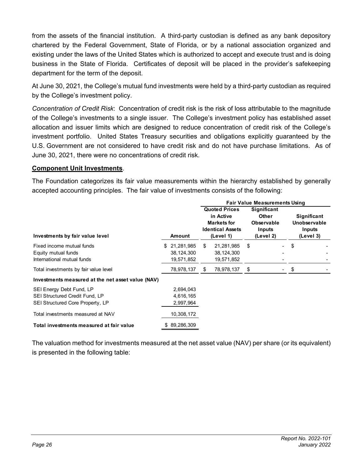from the assets of the financial institution. A third-party custodian is defined as any bank depository chartered by the Federal Government, State of Florida, or by a national association organized and existing under the laws of the United States which is authorized to accept and execute trust and is doing business in the State of Florida. Certificates of deposit will be placed in the provider's safekeeping department for the term of the deposit.

At June 30, 2021, the College's mutual fund investments were held by a third-party custodian as required by the College's investment policy.

*Concentration of Credit Risk*: Concentration of credit risk is the risk of loss attributable to the magnitude of the College's investments to a single issuer. The College's investment policy has established asset allocation and issuer limits which are designed to reduce concentration of credit risk of the College's investment portfolio. United States Treasury securities and obligations explicitly guaranteed by the U.S. Government are not considered to have credit risk and do not have purchase limitations. As of June 30, 2021, there were no concentrations of credit risk.

#### **Component Unit Investments**.

The Foundation categorizes its fair value measurements within the hierarchy established by generally accepted accounting principles. The fair value of investments consists of the following:

|                                                                                                              |                                                | <b>Fair Value Measurements Using</b> |                                                                                                 |    |                                                                                |                                                    |  |
|--------------------------------------------------------------------------------------------------------------|------------------------------------------------|--------------------------------------|-------------------------------------------------------------------------------------------------|----|--------------------------------------------------------------------------------|----------------------------------------------------|--|
| Investments by fair value level                                                                              | <b>Amount</b>                                  |                                      | <b>Quoted Prices</b><br>in Active<br><b>Markets for</b><br><b>Identical Assets</b><br>(Level 1) |    | <b>Significant</b><br><b>Other</b><br><b>Observable</b><br>Inputs<br>(Level 2) | Significant<br>Unobservable<br>Inputs<br>(Level 3) |  |
| Fixed income mutual funds<br>Equity mutual funds<br>International mutual funds                               | \$<br>21,281,985<br>38, 124, 300<br>19,571,852 | S.                                   | 21,281,985<br>38, 124, 300<br>19,571,852                                                        | \$ |                                                                                | \$                                                 |  |
| Total investments by fair value level                                                                        | 78,978,137                                     | S                                    | 78,978,137                                                                                      | \$ |                                                                                | \$                                                 |  |
| Investments measured at the net asset value (NAV)                                                            |                                                |                                      |                                                                                                 |    |                                                                                |                                                    |  |
| SEI Energy Debt Fund, LP<br><b>SEI Structured Credit Fund, LP</b><br><b>SEI Structured Core Property, LP</b> | 2,694,043<br>4,616,165<br>2,997,964            |                                      |                                                                                                 |    |                                                                                |                                                    |  |
| Total investments measured at NAV                                                                            | 10,308,172                                     |                                      |                                                                                                 |    |                                                                                |                                                    |  |
| Total investments measured at fair value                                                                     | \$89,286,309                                   |                                      |                                                                                                 |    |                                                                                |                                                    |  |

The valuation method for investments measured at the net asset value (NAV) per share (or its equivalent) is presented in the following table: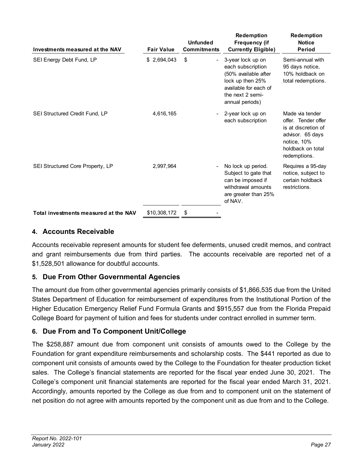| Investments measured at the NAV       | <b>Fair Value</b> | <b>Unfunded</b><br><b>Commitments</b> | <b>Redemption</b><br><b>Frequency (if</b><br><b>Currently Eligible)</b>                                                                            | <b>Redemption</b><br><b>Notice</b><br><b>Period</b>                                                                                   |
|---------------------------------------|-------------------|---------------------------------------|----------------------------------------------------------------------------------------------------------------------------------------------------|---------------------------------------------------------------------------------------------------------------------------------------|
| SEI Energy Debt Fund, LP              | \$2,694,043       | \$<br>$\blacksquare$                  | 3-year lock up on<br>each subscription<br>(50% available after<br>lock up then 25%<br>available for each of<br>the next 2 semi-<br>annual periods) | Semi-annual with<br>95 days notice,<br>10% holdback on<br>total redemptions.                                                          |
| <b>SEI Structured Credit Fund. LP</b> | 4,616,165         |                                       | 2-year lock up on<br>each subscription                                                                                                             | Made via tender<br>offer. Tender offer<br>is at discretion of<br>advisor. 65 days<br>notice, 10%<br>holdback on total<br>redemptions. |
| SEI Structured Core Property, LP      | 2,997,964         |                                       | No lock up period.<br>Subject to gate that<br>can be imposed if<br>withdrawal amounts<br>are greater than 25%<br>of NAV.                           | Requires a 95-day<br>notice, subject to<br>certain holdback<br>restrictions.                                                          |
| Total investments measured at the NAV | \$10,308,172      | \$                                    |                                                                                                                                                    |                                                                                                                                       |

## **4. Accounts Receivable**

Accounts receivable represent amounts for student fee deferments, unused credit memos, and contract and grant reimbursements due from third parties. The accounts receivable are reported net of a \$1,528,501 allowance for doubtful accounts.

## **5. Due From Other Governmental Agencies**

The amount due from other governmental agencies primarily consists of \$1,866,535 due from the United States Department of Education for reimbursement of expenditures from the Institutional Portion of the Higher Education Emergency Relief Fund Formula Grants and \$915,557 due from the Florida Prepaid College Board for payment of tuition and fees for students under contract enrolled in summer term.

## **6. Due From and To Component Unit/College**

The \$258,887 amount due from component unit consists of amounts owed to the College by the Foundation for grant expenditure reimbursements and scholarship costs. The \$441 reported as due to component unit consists of amounts owed by the College to the Foundation for theater production ticket sales. The College's financial statements are reported for the fiscal year ended June 30, 2021. The College's component unit financial statements are reported for the fiscal year ended March 31, 2021. Accordingly, amounts reported by the College as due from and to component unit on the statement of net position do not agree with amounts reported by the component unit as due from and to the College.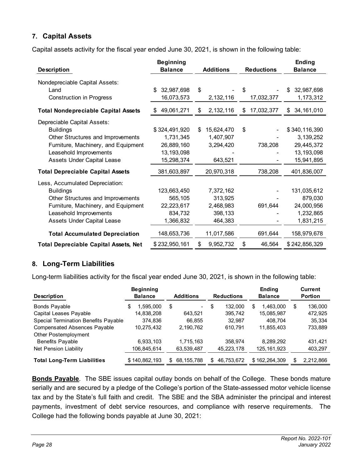## **7. Capital Assets**

Capital assets activity for the fiscal year ended June 30, 2021, is shown in the following table:

| <b>Description</b>                           | <b>Beginning</b><br><b>Balance</b> | <b>Additions</b>  | <b>Reductions</b> | <b>Ending</b><br><b>Balance</b> |
|----------------------------------------------|------------------------------------|-------------------|-------------------|---------------------------------|
| Nondepreciable Capital Assets:               |                                    |                   |                   |                                 |
| Land                                         | 32,987,698<br>\$                   | \$                | \$                | 32,987,698<br>S                 |
| <b>Construction in Progress</b>              | 16,073,573                         | 2,132,116         | 17,032,377        | 1,173,312                       |
| <b>Total Nondepreciable Capital Assets</b>   | 49,061,271<br>S.                   | 2, 132, 116<br>\$ | 17,032,377<br>\$  | 34, 161, 010<br>\$              |
| Depreciable Capital Assets:                  |                                    |                   |                   |                                 |
| <b>Buildings</b>                             | \$324,491,920                      | 15,624,470<br>\$  | \$                | \$340,116,390                   |
| Other Structures and Improvements            | 1,731,345                          | 1,407,907         |                   | 3,139,252                       |
| Furniture, Machinery, and Equipment          | 26,889,160                         | 3,294,420         | 738,208           | 29,445,372                      |
| Leasehold Improvements                       | 13, 193, 098                       |                   |                   | 13, 193, 098                    |
| Assets Under Capital Lease                   | 15,298,374                         | 643,521           |                   | 15,941,895                      |
| <b>Total Depreciable Capital Assets</b>      | 381,603,897                        | 20,970,318        | 738,208           | 401,836,007                     |
| Less, Accumulated Depreciation:              |                                    |                   |                   |                                 |
| <b>Buildings</b>                             | 123,663,450                        | 7,372,162         |                   | 131,035,612                     |
| Other Structures and Improvements            | 565,105                            | 313,925           |                   | 879,030                         |
| Furniture, Machinery, and Equipment          | 22,223,617                         | 2,468,983         | 691,644           | 24,000,956                      |
| Leasehold Improvements                       | 834,732                            | 398,133           |                   | 1,232,865                       |
| Assets Under Capital Lease                   | 1,366,832                          | 464,383           |                   | 1,831,215                       |
| <b>Total Accumulated Depreciation</b>        | 148,653,736                        | 11,017,586        | 691,644           | 158,979,678                     |
| <b>Total Depreciable Capital Assets, Net</b> | \$232,950,161                      | 9,952,732<br>\$   | 46,564<br>\$      | \$242,856,329                   |

## **8. Long-Term Liabilities**

Long-term liabilities activity for the fiscal year ended June 30, 2021, is shown in the following table:

| <b>Description</b>                          | <b>Beginning</b><br><b>Balance</b> | <b>Additions</b>     | <b>Reductions</b> | <b>Ending</b><br><b>Balance</b> | <b>Current</b><br><b>Portion</b> |
|---------------------------------------------|------------------------------------|----------------------|-------------------|---------------------------------|----------------------------------|
| <b>Bonds Payable</b>                        | \$<br>1.595.000                    | \$<br>$\blacksquare$ | 132.000<br>\$     | 1.463.000<br>S                  | \$<br>136,000                    |
| Capital Leases Payable                      | 14,838,208                         | 643.521              | 395,742           | 15,085,987                      | 472,925                          |
| <b>Special Termination Benefits Payable</b> | 374.836                            | 66.855               | 32.987            | 408.704                         | 35,334                           |
| <b>Compensated Absences Payable</b>         | 10.275.432                         | 2.190.762            | 610.791           | 11,855,403                      | 733,889                          |
| Other Postemployment                        |                                    |                      |                   |                                 |                                  |
| <b>Benefits Payable</b>                     | 6,933,103                          | 1,715,163            | 358.974           | 8,289,292                       | 431,421                          |
| Net Pension Liability                       | 106,845,614                        | 63,539,487           | 45,223,178        | 125, 161, 923                   | 403,297                          |
| <b>Total Long-Term Liabilities</b>          | \$140,862,193                      | 68, 155, 788<br>S.   | 46,753,672<br>S.  | \$162,264,309                   | 2,212,866<br>\$.                 |

**Bonds Payable**. The SBE issues capital outlay bonds on behalf of the College. These bonds mature serially and are secured by a pledge of the College's portion of the State-assessed motor vehicle license tax and by the State's full faith and credit. The SBE and the SBA administer the principal and interest payments, investment of debt service resources, and compliance with reserve requirements. The College had the following bonds payable at June 30, 2021: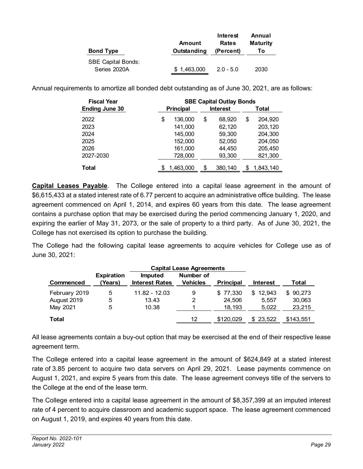| <b>Bond Type</b>                          | Amount<br>Outstanding | Interest<br><b>Rates</b><br>(Percent) | Annual<br><b>Maturity</b><br>Т٥ |
|-------------------------------------------|-----------------------|---------------------------------------|---------------------------------|
| <b>SBE Capital Bonds:</b><br>Series 2020A | \$1,463,000           | $2.0 - 5.0$                           | 2030                            |

Annual requirements to amortize all bonded debt outstanding as of June 30, 2021, are as follows:

| <b>Fiscal Year</b>    | <b>SBE Capital Outlay Bonds</b> |                  |    |                 |               |
|-----------------------|---------------------------------|------------------|----|-----------------|---------------|
| <b>Ending June 30</b> |                                 | <b>Principal</b> |    | <b>Interest</b> | Total         |
| 2022                  | \$                              | 136,000          | \$ | 68.920          | \$<br>204.920 |
| 2023                  |                                 | 141,000          |    | 62,120          | 203,120       |
| 2024                  |                                 | 145,000          |    | 59,300          | 204,300       |
| 2025                  |                                 | 152,000          |    | 52,050          | 204,050       |
| 2026                  |                                 | 161,000          |    | 44,450          | 205,450       |
| 2027-2030             |                                 | 728,000          |    | 93,300          | 821,300       |
| Total                 |                                 | 1,463,000        | \$ | 380,140         | 1,843,140     |

**Capital Leases Payable**. The College entered into a capital lease agreement in the amount of \$6,615,433 at a stated interest rate of 6.77 percent to acquire an administrative office building. The lease agreement commenced on April 1, 2014, and expires 60 years from this date. The lease agreement contains a purchase option that may be exercised during the period commencing January 1, 2020, and expiring the earlier of May 31, 2073, or the sale of property to a third party. As of June 30, 2021, the College has not exercised its option to purchase the building.

The College had the following capital lease agreements to acquire vehicles for College use as of June 30, 2021:

|               |                              | <b>Capital Lease Agreements</b>         |                              |                  |                 |           |
|---------------|------------------------------|-----------------------------------------|------------------------------|------------------|-----------------|-----------|
| Commenced     | <b>Expiration</b><br>(Years) | <b>Imputed</b><br><b>Interest Rates</b> | Number of<br><b>Vehicles</b> | <b>Principal</b> | <b>Interest</b> | Total     |
| February 2019 | 5                            | 11.82 - 12.03                           | 9                            | \$77.330         | 12.943<br>S.    | \$90,273  |
| August 2019   | 5                            | 13.43                                   | 2                            | 24,506           | 5.557           | 30,063    |
| May 2021      | 5                            | 10.38                                   |                              | 18,193           | 5,022           | 23,215    |
| Total         |                              |                                         | 12                           | \$120,029        | \$23.522        | \$143,551 |

All lease agreements contain a buy-out option that may be exercised at the end of their respective lease agreement term.

The College entered into a capital lease agreement in the amount of \$624,849 at a stated interest rate of 3.85 percent to acquire two data servers on April 29, 2021. Lease payments commence on August 1, 2021, and expire 5 years from this date. The lease agreement conveys title of the servers to the College at the end of the lease term.

The College entered into a capital lease agreement in the amount of \$8,357,399 at an imputed interest rate of 4 percent to acquire classroom and academic support space. The lease agreement commenced on August 1, 2019, and expires 40 years from this date.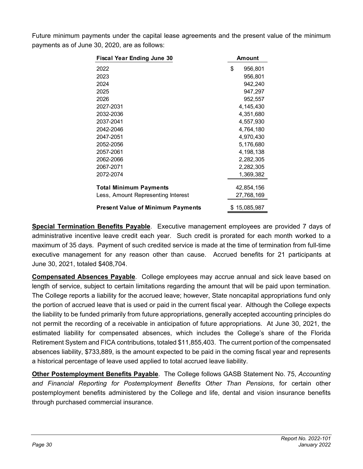| <b>Fiscal Year Ending June 30</b>        | Amount        |
|------------------------------------------|---------------|
| 2022                                     | \$<br>956,801 |
| 2023                                     | 956,801       |
| 2024                                     | 942,240       |
| 2025                                     | 947,297       |
| 2026                                     | 952,557       |
| 2027-2031                                | 4,145,430     |
| 2032-2036                                | 4,351,680     |
| 2037-2041                                | 4,557,930     |
| 2042-2046                                | 4,764,180     |
| 2047-2051                                | 4,970,430     |
| 2052-2056                                | 5,176,680     |
| 2057-2061                                | 4, 198, 138   |
| 2062-2066                                | 2,282,305     |
| 2067-2071                                | 2,282,305     |
| 2072-2074                                | 1,369,382     |
| <b>Total Minimum Payments</b>            | 42,854,156    |
| Less, Amount Representing Interest       | 27,768,169    |
| <b>Present Value of Minimum Payments</b> | \$15,085,987  |

Future minimum payments under the capital lease agreements and the present value of the minimum payments as of June 30, 2020, are as follows:

**Special Termination Benefits Payable**. Executive management employees are provided 7 days of administrative incentive leave credit each year. Such credit is prorated for each month worked to a maximum of 35 days. Payment of such credited service is made at the time of termination from full-time executive management for any reason other than cause. Accrued benefits for 21 participants at June 30, 2021, totaled \$408,704.

**Compensated Absences Payable**. College employees may accrue annual and sick leave based on length of service, subject to certain limitations regarding the amount that will be paid upon termination. The College reports a liability for the accrued leave; however, State noncapital appropriations fund only the portion of accrued leave that is used or paid in the current fiscal year. Although the College expects the liability to be funded primarily from future appropriations, generally accepted accounting principles do not permit the recording of a receivable in anticipation of future appropriations. At June 30, 2021, the estimated liability for compensated absences, which includes the College's share of the Florida Retirement System and FICA contributions, totaled \$11,855,403. The current portion of the compensated absences liability, \$733,889, is the amount expected to be paid in the coming fiscal year and represents a historical percentage of leave used applied to total accrued leave liability.

**Other Postemployment Benefits Payable**. The College follows GASB Statement No. 75, *Accounting and Financial Reporting for Postemployment Benefits Other Than Pensions*, for certain other postemployment benefits administered by the College and life, dental and vision insurance benefits through purchased commercial insurance.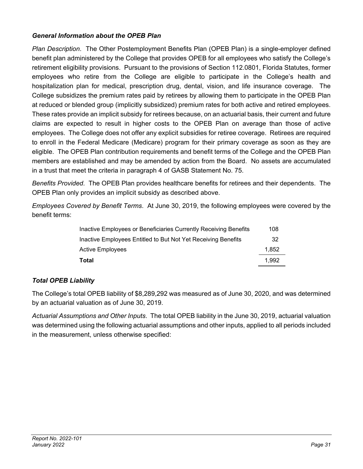## *General Information about the OPEB Plan*

*Plan Description*. The Other Postemployment Benefits Plan (OPEB Plan) is a single-employer defined benefit plan administered by the College that provides OPEB for all employees who satisfy the College's retirement eligibility provisions. Pursuant to the provisions of Section 112.0801, Florida Statutes, former employees who retire from the College are eligible to participate in the College's health and hospitalization plan for medical, prescription drug, dental, vision, and life insurance coverage. The College subsidizes the premium rates paid by retirees by allowing them to participate in the OPEB Plan at reduced or blended group (implicitly subsidized) premium rates for both active and retired employees. These rates provide an implicit subsidy for retirees because, on an actuarial basis, their current and future claims are expected to result in higher costs to the OPEB Plan on average than those of active employees. The College does not offer any explicit subsidies for retiree coverage. Retirees are required to enroll in the Federal Medicare (Medicare) program for their primary coverage as soon as they are eligible. The OPEB Plan contribution requirements and benefit terms of the College and the OPEB Plan members are established and may be amended by action from the Board. No assets are accumulated in a trust that meet the criteria in paragraph 4 of GASB Statement No. 75.

*Benefits Provided*. The OPEB Plan provides healthcare benefits for retirees and their dependents. The OPEB Plan only provides an implicit subsidy as described above.

*Employees Covered by Benefit Terms*. At June 30, 2019, the following employees were covered by the benefit terms:

| Inactive Employees or Beneficiaries Currently Receiving Benefits | 108   |
|------------------------------------------------------------------|-------|
| Inactive Employees Entitled to But Not Yet Receiving Benefits    | -32   |
| <b>Active Employees</b>                                          | 1.852 |
| Total                                                            | 1.992 |

## *Total OPEB Liability*

The College's total OPEB liability of \$8,289,292 was measured as of June 30, 2020, and was determined by an actuarial valuation as of June 30, 2019.

*Actuarial Assumptions and Other Inputs*. The total OPEB liability in the June 30, 2019, actuarial valuation was determined using the following actuarial assumptions and other inputs, applied to all periods included in the measurement, unless otherwise specified: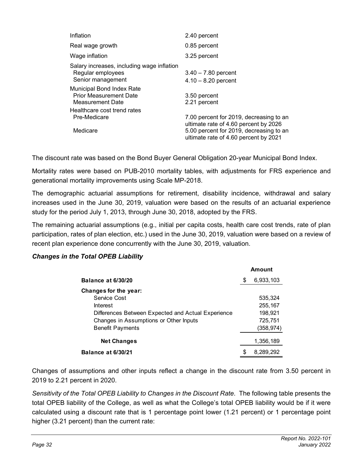| Inflation                                                                             | 2.40 percent                                                                                                              |
|---------------------------------------------------------------------------------------|---------------------------------------------------------------------------------------------------------------------------|
| Real wage growth                                                                      | 0.85 percent                                                                                                              |
| Wage inflation                                                                        | 3.25 percent                                                                                                              |
| Salary increases, including wage inflation<br>Regular employees<br>Senior management  | $3.40 - 7.80$ percent<br>$4.10 - 8.20$ percent                                                                            |
| <b>Municipal Bond Index Rate</b><br><b>Prior Measurement Date</b><br>Measurement Date | 3.50 percent<br>2.21 percent                                                                                              |
| Healthcare cost trend rates<br>Pre-Medicare                                           | 7.00 percent for 2019, decreasing to an                                                                                   |
| Medicare                                                                              | ultimate rate of 4.60 percent by 2026<br>5.00 percent for 2019, decreasing to an<br>ultimate rate of 4.60 percent by 2021 |

The discount rate was based on the Bond Buyer General Obligation 20-year Municipal Bond Index.

Mortality rates were based on PUB-2010 mortality tables, with adjustments for FRS experience and generational mortality improvements using Scale MP-2018.

The demographic actuarial assumptions for retirement, disability incidence, withdrawal and salary increases used in the June 30, 2019, valuation were based on the results of an actuarial experience study for the period July 1, 2013, through June 30, 2018, adopted by the FRS.

The remaining actuarial assumptions (e.g., initial per capita costs, health care cost trends, rate of plan participation, rates of plan election, etc.) used in the June 30, 2019, valuation were based on a review of recent plan experience done concurrently with the June 30, 2019, valuation.

## *Changes in the Total OPEB Liability*

|                                                    | <b>Amount</b>   |
|----------------------------------------------------|-----------------|
| Balance at 6/30/20                                 | \$<br>6,933,103 |
| Changes for the year:                              |                 |
| Service Cost                                       | 535,324         |
| Interest                                           | 255,167         |
| Differences Between Expected and Actual Experience | 198,921         |
| Changes in Assumptions or Other Inputs             | 725,751         |
| Benefit Payments                                   | (358,974)       |
| <b>Net Changes</b>                                 | 1,356,189       |
| Balance at 6/30/21                                 | \$<br>8,289,292 |

Changes of assumptions and other inputs reflect a change in the discount rate from 3.50 percent in 2019 to 2.21 percent in 2020.

*Sensitivity of the Total OPEB Liability to Changes in the Discount Rate*. The following table presents the total OPEB liability of the College, as well as what the College's total OPEB liability would be if it were calculated using a discount rate that is 1 percentage point lower (1.21 percent) or 1 percentage point higher (3.21 percent) than the current rate: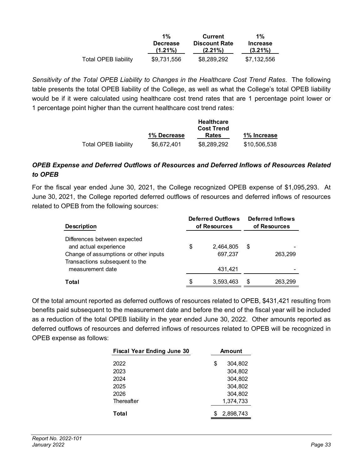|                      | 1%                            | Current                            | $1\%$                         |
|----------------------|-------------------------------|------------------------------------|-------------------------------|
|                      | <b>Decrease</b><br>$(1.21\%)$ | <b>Discount Rate</b><br>$(2.21\%)$ | <b>Increase</b><br>$(3.21\%)$ |
| Total OPEB liability | \$9,731,556                   | \$8,289,292                        | \$7.132.556                   |

*Sensitivity of the Total OPEB Liability to Changes in the Healthcare Cost Trend Rates*. The following table presents the total OPEB liability of the College, as well as what the College's total OPEB liability would be if it were calculated using healthcare cost trend rates that are 1 percentage point lower or 1 percentage point higher than the current healthcare cost trend rates:

|                             |             | <b>Healthcare</b><br><b>Cost Trend</b> |              |
|-----------------------------|-------------|----------------------------------------|--------------|
|                             | 1% Decrease | Rates                                  | 1% Increase  |
| <b>Total OPEB liability</b> | \$6.672.401 | \$8.289.292                            | \$10.506.538 |

## *OPEB Expense and Deferred Outflows of Resources and Deferred Inflows of Resources Related to OPEB*

For the fiscal year ended June 30, 2021, the College recognized OPEB expense of \$1,095,293. At June 30, 2021, the College reported deferred outflows of resources and deferred inflows of resources related to OPEB from the following sources:

| <b>Description</b>                                                                                                                                   | <b>Deferred Outflows</b><br>of Resources | Deferred Inflows<br>of Resources |
|------------------------------------------------------------------------------------------------------------------------------------------------------|------------------------------------------|----------------------------------|
| Differences between expected<br>and actual experience<br>Change of assumptions or other inputs<br>Transactions subsequent to the<br>measurement date | \$<br>2,464,805<br>697,237<br>431,421    | \$<br>263,299                    |
| Total                                                                                                                                                | \$<br>3,593,463                          | \$<br>263.299                    |

Of the total amount reported as deferred outflows of resources related to OPEB, \$431,421 resulting from benefits paid subsequent to the measurement date and before the end of the fiscal year will be included as a reduction of the total OPEB liability in the year ended June 30, 2022. Other amounts reported as deferred outflows of resources and deferred inflows of resources related to OPEB will be recognized in OPEB expense as follows:

| <b>Fiscal Year Ending June 30</b> | Amount |           |  |  |
|-----------------------------------|--------|-----------|--|--|
| 2022                              | \$     | 304,802   |  |  |
| 2023                              |        | 304,802   |  |  |
| 2024                              |        | 304,802   |  |  |
| 2025                              |        | 304,802   |  |  |
| 2026                              |        | 304,802   |  |  |
| Thereafter                        |        | 1,374,733 |  |  |
| Total                             |        | 2,898,743 |  |  |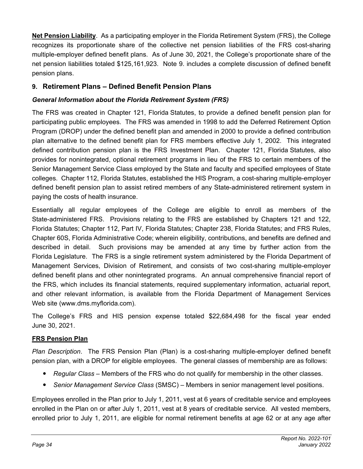**Net Pension Liability**. As a participating employer in the Florida Retirement System (FRS), the College recognizes its proportionate share of the collective net pension liabilities of the FRS cost-sharing multiple-employer defined benefit plans. As of June 30, 2021, the College's proportionate share of the net pension liabilities totaled \$125,161,923. Note 9. includes a complete discussion of defined benefit pension plans.

## **9. Retirement Plans – Defined Benefit Pension Plans**

## *General Information about the Florida Retirement System (FRS)*

The FRS was created in Chapter 121, Florida Statutes, to provide a defined benefit pension plan for participating public employees. The FRS was amended in 1998 to add the Deferred Retirement Option Program (DROP) under the defined benefit plan and amended in 2000 to provide a defined contribution plan alternative to the defined benefit plan for FRS members effective July 1, 2002. This integrated defined contribution pension plan is the FRS Investment Plan. Chapter 121, Florida Statutes, also provides for nonintegrated, optional retirement programs in lieu of the FRS to certain members of the Senior Management Service Class employed by the State and faculty and specified employees of State colleges. Chapter 112, Florida Statutes, established the HIS Program, a cost-sharing multiple-employer defined benefit pension plan to assist retired members of any State-administered retirement system in paying the costs of health insurance.

Essentially all regular employees of the College are eligible to enroll as members of the State-administered FRS. Provisions relating to the FRS are established by Chapters 121 and 122, Florida Statutes; Chapter 112, Part IV, Florida Statutes; Chapter 238, Florida Statutes; and FRS Rules, Chapter 60S, Florida Administrative Code; wherein eligibility, contributions, and benefits are defined and described in detail. Such provisions may be amended at any time by further action from the Florida Legislature. The FRS is a single retirement system administered by the Florida Department of Management Services, Division of Retirement, and consists of two cost-sharing multiple-employer defined benefit plans and other nonintegrated programs. An annual comprehensive financial report of the FRS, which includes its financial statements, required supplementary information, actuarial report, and other relevant information, is available from the Florida Department of Management Services Web site (www.dms.myflorida.com).

The College's FRS and HIS pension expense totaled \$22,684,498 for the fiscal year ended June 30, 2021.

## **FRS Pension Plan**

*Plan Description*. The FRS Pension Plan (Plan) is a cost-sharing multiple-employer defined benefit pension plan, with a DROP for eligible employees. The general classes of membership are as follows:

- *Regular Class* Members of the FRS who do not qualify for membership in the other classes.
- *Senior Management Service Class* (SMSC) Members in senior management level positions.

Employees enrolled in the Plan prior to July 1, 2011, vest at 6 years of creditable service and employees enrolled in the Plan on or after July 1, 2011, vest at 8 years of creditable service. All vested members, enrolled prior to July 1, 2011, are eligible for normal retirement benefits at age 62 or at any age after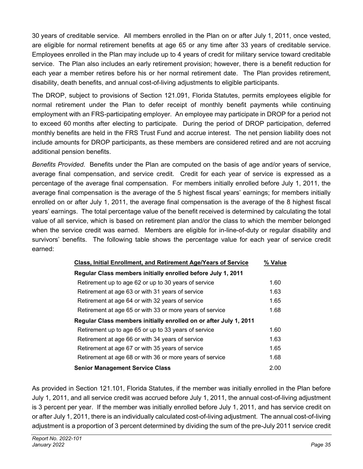30 years of creditable service. All members enrolled in the Plan on or after July 1, 2011, once vested, are eligible for normal retirement benefits at age 65 or any time after 33 years of creditable service. Employees enrolled in the Plan may include up to 4 years of credit for military service toward creditable service. The Plan also includes an early retirement provision; however, there is a benefit reduction for each year a member retires before his or her normal retirement date. The Plan provides retirement, disability, death benefits, and annual cost-of-living adjustments to eligible participants.

The DROP, subject to provisions of Section 121.091, Florida Statutes, permits employees eligible for normal retirement under the Plan to defer receipt of monthly benefit payments while continuing employment with an FRS-participating employer. An employee may participate in DROP for a period not to exceed 60 months after electing to participate. During the period of DROP participation, deferred monthly benefits are held in the FRS Trust Fund and accrue interest. The net pension liability does not include amounts for DROP participants, as these members are considered retired and are not accruing additional pension benefits.

*Benefits Provided*. Benefits under the Plan are computed on the basis of age and/or years of service, average final compensation, and service credit. Credit for each year of service is expressed as a percentage of the average final compensation. For members initially enrolled before July 1, 2011, the average final compensation is the average of the 5 highest fiscal years' earnings; for members initially enrolled on or after July 1, 2011, the average final compensation is the average of the 8 highest fiscal years' earnings. The total percentage value of the benefit received is determined by calculating the total value of all service, which is based on retirement plan and/or the class to which the member belonged when the service credit was earned. Members are eligible for in-line-of-duty or regular disability and survivors' benefits. The following table shows the percentage value for each year of service credit earned:

| Class, Initial Enrollment, and Retirement Age/Years of Service    | % Value |
|-------------------------------------------------------------------|---------|
| Regular Class members initially enrolled before July 1, 2011      |         |
| Retirement up to age 62 or up to 30 years of service              | 1.60    |
| Retirement at age 63 or with 31 years of service                  | 1.63    |
| Retirement at age 64 or with 32 years of service                  | 1.65    |
| Retirement at age 65 or with 33 or more years of service          | 1.68    |
| Regular Class members initially enrolled on or after July 1, 2011 |         |
| Retirement up to age 65 or up to 33 years of service              | 1.60    |
| Retirement at age 66 or with 34 years of service                  | 1.63    |
| Retirement at age 67 or with 35 years of service                  | 1.65    |
| Retirement at age 68 or with 36 or more years of service          | 1.68    |
| <b>Senior Management Service Class</b>                            | 2.00    |

As provided in Section 121.101, Florida Statutes, if the member was initially enrolled in the Plan before July 1, 2011, and all service credit was accrued before July 1, 2011, the annual cost-of-living adjustment is 3 percent per year. If the member was initially enrolled before July 1, 2011, and has service credit on or after July 1, 2011, there is an individually calculated cost-of-living adjustment. The annual cost-of-living adjustment is a proportion of 3 percent determined by dividing the sum of the pre-July 2011 service credit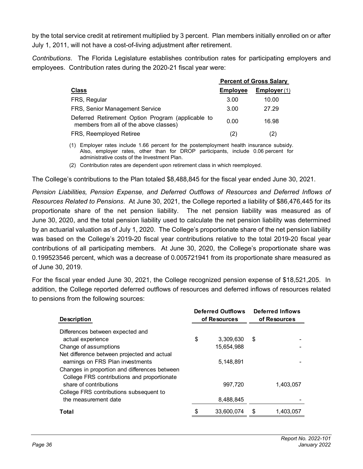by the total service credit at retirement multiplied by 3 percent. Plan members initially enrolled on or after July 1, 2011, will not have a cost-of-living adjustment after retirement.

*Contributions*. The Florida Legislature establishes contribution rates for participating employers and employees. Contribution rates during the 2020-21 fiscal year were:

|                                                                                             | <b>Percent of Gross Salary</b> |                |  |  |
|---------------------------------------------------------------------------------------------|--------------------------------|----------------|--|--|
| <b>Class</b>                                                                                | <b>Employee</b>                | Employer $(1)$ |  |  |
| FRS, Regular                                                                                | 3.00                           | 10.00          |  |  |
| FRS, Senior Management Service                                                              | 3.00                           | 27.29          |  |  |
| Deferred Retirement Option Program (applicable to<br>members from all of the above classes) | 0.00                           | 16.98          |  |  |
| FRS, Reemployed Retiree                                                                     |                                | 2)             |  |  |

(1) Employer rates include 1.66 percent for the postemployment health insurance subsidy. Also, employer rates, other than for DROP participants, include 0.06 percent for administrative costs of the Investment Plan.

(2) Contribution rates are dependent upon retirement class in which reemployed.

The College's contributions to the Plan totaled \$8,488,845 for the fiscal year ended June 30, 2021.

*Pension Liabilities, Pension Expense, and Deferred Outflows of Resources and Deferred Inflows of Resources Related to Pensions*. At June 30, 2021, the College reported a liability of \$86,476,445 for its proportionate share of the net pension liability. The net pension liability was measured as of June 30, 2020, and the total pension liability used to calculate the net pension liability was determined by an actuarial valuation as of July 1, 2020. The College's proportionate share of the net pension liability was based on the College's 2019-20 fiscal year contributions relative to the total 2019-20 fiscal year contributions of all participating members. At June 30, 2020, the College's proportionate share was 0.199523546 percent, which was a decrease of 0.005721941 from its proportionate share measured as of June 30, 2019.

For the fiscal year ended June 30, 2021, the College recognized pension expense of \$18,521,205. In addition, the College reported deferred outflows of resources and deferred inflows of resources related to pensions from the following sources:

| <b>Description</b>                            | <b>Deferred Outflows</b><br>of Resources |            | <b>Deferred Inflows</b><br>of Resources |           |
|-----------------------------------------------|------------------------------------------|------------|-----------------------------------------|-----------|
| Differences between expected and              |                                          |            |                                         |           |
| actual experience                             | \$                                       | 3,309,630  | S                                       |           |
| Change of assumptions                         |                                          | 15,654,988 |                                         |           |
| Net difference between projected and actual   |                                          |            |                                         |           |
| earnings on FRS Plan investments              |                                          | 5.148.891  |                                         |           |
| Changes in proportion and differences between |                                          |            |                                         |           |
| College FRS contributions and proportionate   |                                          |            |                                         |           |
| share of contributions                        |                                          | 997,720    |                                         | 1,403,057 |
| College FRS contributions subsequent to       |                                          |            |                                         |           |
| the measurement date                          |                                          | 8,488,845  |                                         |           |
| Total                                         | \$.                                      | 33,600,074 |                                         | 1.403.057 |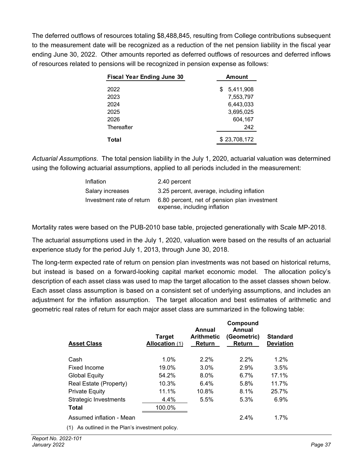The deferred outflows of resources totaling \$8,488,845, resulting from College contributions subsequent to the measurement date will be recognized as a reduction of the net pension liability in the fiscal year ending June 30, 2022. Other amounts reported as deferred outflows of resources and deferred inflows of resources related to pensions will be recognized in pension expense as follows:

| <b>Fiscal Year Ending June 30</b><br>Amount |                |
|---------------------------------------------|----------------|
| 2022                                        | 5,411,908<br>S |
| 2023                                        | 7,553,797      |
| 2024                                        | 6,443,033      |
| 2025                                        | 3,695,025      |
| 2026                                        | 604,167        |
| Thereafter                                  | 242            |
| Total                                       | \$23,708,172   |

*Actuarial Assumptions*. The total pension liability in the July 1, 2020, actuarial valuation was determined using the following actuarial assumptions, applied to all periods included in the measurement:

| Inflation                 | 2.40 percent                                                                 |
|---------------------------|------------------------------------------------------------------------------|
| Salary increases          | 3.25 percent, average, including inflation                                   |
| Investment rate of return | 6.80 percent, net of pension plan investment<br>expense, including inflation |

Mortality rates were based on the PUB-2010 base table, projected generationally with Scale MP-2018.

The actuarial assumptions used in the July 1, 2020, valuation were based on the results of an actuarial experience study for the period July 1, 2013, through June 30, 2018.

The long-term expected rate of return on pension plan investments was not based on historical returns, but instead is based on a forward-looking capital market economic model. The allocation policy's description of each asset class was used to map the target allocation to the asset classes shown below. Each asset class assumption is based on a consistent set of underlying assumptions, and includes an adjustment for the inflation assumption. The target allocation and best estimates of arithmetic and geometric real rates of return for each major asset class are summarized in the following table:

| <b>Asset Class</b>                               | <b>Target</b><br>Allocation (1) | Annual<br><b>Arithmetic</b><br>Return | Compound<br>Annual<br>(Geometric)<br>Return | <b>Standard</b><br><b>Deviation</b> |
|--------------------------------------------------|---------------------------------|---------------------------------------|---------------------------------------------|-------------------------------------|
| Cash                                             | 1.0%                            | $2.2\%$                               | 2.2%                                        | 1.2%                                |
| Fixed Income                                     | 19.0%                           | $3.0\%$                               | 2.9%                                        | 3.5%                                |
| <b>Global Equity</b>                             | 54.2%                           | 8.0%                                  | 6.7%                                        | 17.1%                               |
| Real Estate (Property)                           | 10.3%                           | 6.4%                                  | 5.8%                                        | 11.7%                               |
| <b>Private Equity</b>                            | 11.1%                           | 10.8%                                 | 8.1%                                        | 25.7%                               |
| Strategic Investments                            | 4.4%                            | 5.5%                                  | 5.3%                                        | 6.9%                                |
| <b>Total</b>                                     | 100.0%                          |                                       |                                             |                                     |
| Assumed inflation - Mean                         |                                 |                                       | 2.4%                                        | 1.7%                                |
| (1) As outlined in the Plan's investment policy. |                                 |                                       |                                             |                                     |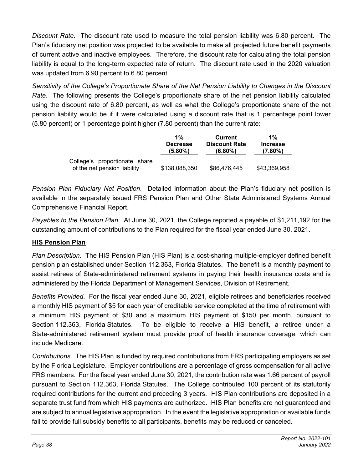*Discount Rate*. The discount rate used to measure the total pension liability was 6.80 percent. The Plan's fiduciary net position was projected to be available to make all projected future benefit payments of current active and inactive employees. Therefore, the discount rate for calculating the total pension liability is equal to the long-term expected rate of return. The discount rate used in the 2020 valuation was updated from 6.90 percent to 6.80 percent.

*Sensitivity of the College's Proportionate Share of the Net Pension Liability to Changes in the Discount Rate*. The following presents the College's proportionate share of the net pension liability calculated using the discount rate of 6.80 percent, as well as what the College's proportionate share of the net pension liability would be if it were calculated using a discount rate that is 1 percentage point lower (5.80 percent) or 1 percentage point higher (7.80 percent) than the current rate:

|                                                               | 1%              | <b>Current</b>       | $1\%$           |
|---------------------------------------------------------------|-----------------|----------------------|-----------------|
|                                                               | <b>Decrease</b> | <b>Discount Rate</b> | <b>Increase</b> |
|                                                               | $(5.80\%)$      | $(6.80\%)$           | $(7.80\%)$      |
| College's proportionate share<br>of the net pension liability | \$138,088,350   | \$86,476,445         | \$43,369,958    |

*Pension Plan Fiduciary Net Position*. Detailed information about the Plan's fiduciary net position is available in the separately issued FRS Pension Plan and Other State Administered Systems Annual Comprehensive Financial Report.

*Payables to the Pension Plan*. At June 30, 2021, the College reported a payable of \$1,211,192 for the outstanding amount of contributions to the Plan required for the fiscal year ended June 30, 2021.

## **HIS Pension Plan**

*Plan Description*. The HIS Pension Plan (HIS Plan) is a cost-sharing multiple-employer defined benefit pension plan established under Section 112.363, Florida Statutes. The benefit is a monthly payment to assist retirees of State-administered retirement systems in paying their health insurance costs and is administered by the Florida Department of Management Services, Division of Retirement.

*Benefits Provided*. For the fiscal year ended June 30, 2021, eligible retirees and beneficiaries received a monthly HIS payment of \$5 for each year of creditable service completed at the time of retirement with a minimum HIS payment of \$30 and a maximum HIS payment of \$150 per month, pursuant to Section 112.363, Florida Statutes. To be eligible to receive a HIS benefit, a retiree under a State-administered retirement system must provide proof of health insurance coverage, which can include Medicare.

*Contributions*. The HIS Plan is funded by required contributions from FRS participating employers as set by the Florida Legislature. Employer contributions are a percentage of gross compensation for all active FRS members. For the fiscal year ended June 30, 2021, the contribution rate was 1.66 percent of payroll pursuant to Section 112.363, Florida Statutes. The College contributed 100 percent of its statutorily required contributions for the current and preceding 3 years. HIS Plan contributions are deposited in a separate trust fund from which HIS payments are authorized. HIS Plan benefits are not guaranteed and are subject to annual legislative appropriation. In the event the legislative appropriation or available funds fail to provide full subsidy benefits to all participants, benefits may be reduced or canceled.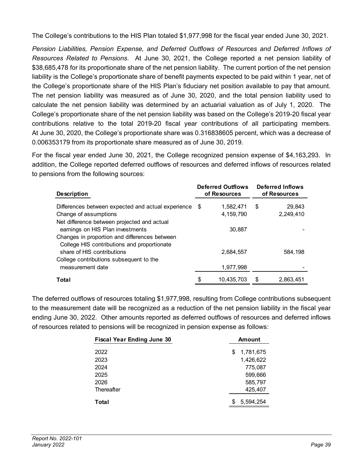The College's contributions to the HIS Plan totaled \$1,977,998 for the fiscal year ended June 30, 2021.

*Pension Liabilities, Pension Expense, and Deferred Outflows of Resources and Deferred Inflows of Resources Related to Pensions*. At June 30, 2021, the College reported a net pension liability of \$38,685,478 for its proportionate share of the net pension liability. The current portion of the net pension liability is the College's proportionate share of benefit payments expected to be paid within 1 year, net of the College's proportionate share of the HIS Plan's fiduciary net position available to pay that amount. The net pension liability was measured as of June 30, 2020, and the total pension liability used to calculate the net pension liability was determined by an actuarial valuation as of July 1, 2020. The College's proportionate share of the net pension liability was based on the College's 2019-20 fiscal year contributions relative to the total 2019-20 fiscal year contributions of all participating members. At June 30, 2020, the College's proportionate share was 0.316838605 percent, which was a decrease of 0.006353179 from its proportionate share measured as of June 30, 2019.

For the fiscal year ended June 30, 2021, the College recognized pension expense of \$4,163,293. In addition, the College reported deferred outflows of resources and deferred inflows of resources related to pensions from the following sources:

| <b>Description</b>                                                                           | <b>Deferred Outflows</b><br>of Resources |                          |    | Deferred Inflows<br>of Resources |
|----------------------------------------------------------------------------------------------|------------------------------------------|--------------------------|----|----------------------------------|
| Differences between expected and actual experience $$$<br>Change of assumptions              |                                          | 1,582,471<br>4, 159, 790 | S  | 29,843<br>2,249,410              |
| Net difference between projected and actual<br>earnings on HIS Plan investments              |                                          | 30.887                   |    |                                  |
| Changes in proportion and differences between<br>College HIS contributions and proportionate |                                          |                          |    |                                  |
| share of HIS contributions<br>College contributions subsequent to the                        |                                          | 2.684.557                |    | 584.198                          |
| measurement date<br>Total                                                                    | \$                                       | 1,977,998<br>10,435,703  | \$ | 2,863,451                        |

The deferred outflows of resources totaling \$1,977,998, resulting from College contributions subsequent to the measurement date will be recognized as a reduction of the net pension liability in the fiscal year ending June 30, 2022. Other amounts reported as deferred outflows of resources and deferred inflows of resources related to pensions will be recognized in pension expense as follows:

| <b>Fiscal Year Ending June 30</b> | <b>Amount</b>   |
|-----------------------------------|-----------------|
| 2022                              | 1,781,675<br>\$ |
| 2023                              | 1,426,622       |
| 2024                              | 775,087         |
| 2025                              | 599,666         |
| 2026                              | 585,797         |
| Thereafter                        | 425,407         |
| Total                             | 5,594,254<br>S  |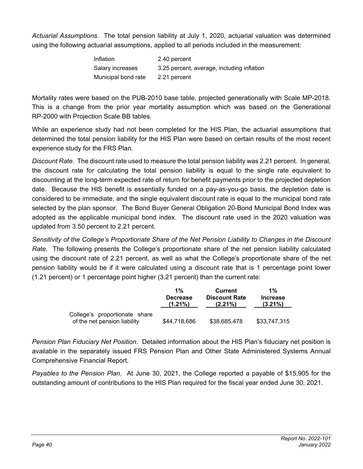*Actuarial Assumptions.* The total pension liability at July 1, 2020, actuarial valuation was determined using the following actuarial assumptions, applied to all periods included in the measurement:

| Inflation           | 2.40 percent                               |
|---------------------|--------------------------------------------|
| Salary increases    | 3.25 percent, average, including inflation |
| Municipal bond rate | 2.21 percent                               |

Mortality rates were based on the PUB-2010 base table, projected generationally with Scale MP-2018. This is a change from the prior year mortality assumption which was based on the Generational RP-2000 with Projection Scale BB tables.

While an experience study had not been completed for the HIS Plan, the actuarial assumptions that determined the total pension liability for the HIS Plan were based on certain results of the most recent experience study for the FRS Plan.

*Discount Rate*. The discount rate used to measure the total pension liability was 2.21 percent. In general, the discount rate for calculating the total pension liability is equal to the single rate equivalent to discounting at the long-term expected rate of return for benefit payments prior to the projected depletion date. Because the HIS benefit is essentially funded on a pay-as-you-go basis, the depletion date is considered to be immediate, and the single equivalent discount rate is equal to the municipal bond rate selected by the plan sponsor. The Bond Buyer General Obligation 20-Bond Municipal Bond Index was adopted as the applicable municipal bond index. The discount rate used in the 2020 valuation was updated from 3.50 percent to 2.21 percent.

*Sensitivity of the College's Proportionate Share of the Net Pension Liability to Changes in the Discount Rate*. The following presents the College's proportionate share of the net pension liability calculated using the discount rate of 2.21 percent, as well as what the College's proportionate share of the net pension liability would be if it were calculated using a discount rate that is 1 percentage point lower (1.21 percent) or 1 percentage point higher (3.21 percent) than the current rate:

|                                                               | 1%              | <b>Current</b>       | 1%              |
|---------------------------------------------------------------|-----------------|----------------------|-----------------|
|                                                               | <b>Decrease</b> | <b>Discount Rate</b> | <b>Increase</b> |
|                                                               | $(1.21\%)$      | $(2.21\%)$           | $(3.21\%)$      |
| College's proportionate share<br>of the net pension liability | \$44,718,686    | \$38,685,478         | \$33,747,315    |

*Pension Plan Fiduciary Net Position*. Detailed information about the HIS Plan's fiduciary net position is available in the separately issued FRS Pension Plan and Other State Administered Systems Annual Comprehensive Financial Report.

*Payables to the Pension Plan*. At June 30, 2021, the College reported a payable of \$15,905 for the outstanding amount of contributions to the HIS Plan required for the fiscal year ended June 30, 2021.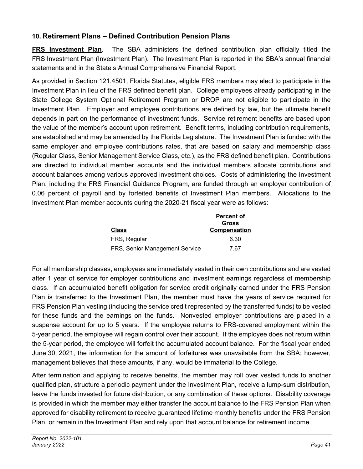## **10. Retirement Plans – Defined Contribution Pension Plans**

**FRS Investment Plan**. The SBA administers the defined contribution plan officially titled the FRS Investment Plan (Investment Plan). The Investment Plan is reported in the SBA's annual financial statements and in the State's Annual Comprehensive Financial Report.

As provided in Section 121.4501, Florida Statutes, eligible FRS members may elect to participate in the Investment Plan in lieu of the FRS defined benefit plan. College employees already participating in the State College System Optional Retirement Program or DROP are not eligible to participate in the Investment Plan. Employer and employee contributions are defined by law, but the ultimate benefit depends in part on the performance of investment funds. Service retirement benefits are based upon the value of the member's account upon retirement. Benefit terms, including contribution requirements, are established and may be amended by the Florida Legislature. The Investment Plan is funded with the same employer and employee contributions rates, that are based on salary and membership class (Regular Class, Senior Management Service Class, etc.), as the FRS defined benefit plan. Contributions are directed to individual member accounts and the individual members allocate contributions and account balances among various approved investment choices. Costs of administering the Investment Plan, including the FRS Financial Guidance Program, are funded through an employer contribution of 0.06 percent of payroll and by forfeited benefits of Investment Plan members. Allocations to the Investment Plan member accounts during the 2020-21 fiscal year were as follows:

|                                | <b>Percent of</b> |
|--------------------------------|-------------------|
|                                | Gross             |
| <b>Class</b>                   | Compensation      |
| FRS, Regular                   | 6.30              |
| FRS, Senior Management Service | 767               |

For all membership classes, employees are immediately vested in their own contributions and are vested after 1 year of service for employer contributions and investment earnings regardless of membership class. If an accumulated benefit obligation for service credit originally earned under the FRS Pension Plan is transferred to the Investment Plan, the member must have the years of service required for FRS Pension Plan vesting (including the service credit represented by the transferred funds) to be vested for these funds and the earnings on the funds. Nonvested employer contributions are placed in a suspense account for up to 5 years. If the employee returns to FRS-covered employment within the 5-year period, the employee will regain control over their account. If the employee does not return within the 5-year period, the employee will forfeit the accumulated account balance. For the fiscal year ended June 30, 2021, the information for the amount of forfeitures was unavailable from the SBA; however, management believes that these amounts, if any, would be immaterial to the College.

After termination and applying to receive benefits, the member may roll over vested funds to another qualified plan, structure a periodic payment under the Investment Plan, receive a lump-sum distribution, leave the funds invested for future distribution, or any combination of these options. Disability coverage is provided in which the member may either transfer the account balance to the FRS Pension Plan when approved for disability retirement to receive guaranteed lifetime monthly benefits under the FRS Pension Plan, or remain in the Investment Plan and rely upon that account balance for retirement income.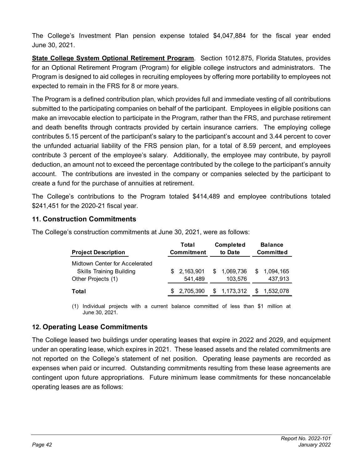The College's Investment Plan pension expense totaled \$4,047,884 for the fiscal year ended June 30, 2021.

**State College System Optional Retirement Program**. Section 1012.875, Florida Statutes, provides for an Optional Retirement Program (Program) for eligible college instructors and administrators. The Program is designed to aid colleges in recruiting employees by offering more portability to employees not expected to remain in the FRS for 8 or more years.

The Program is a defined contribution plan, which provides full and immediate vesting of all contributions submitted to the participating companies on behalf of the participant. Employees in eligible positions can make an irrevocable election to participate in the Program, rather than the FRS, and purchase retirement and death benefits through contracts provided by certain insurance carriers. The employing college contributes 5.15 percent of the participant's salary to the participant's account and 3.44 percent to cover the unfunded actuarial liability of the FRS pension plan, for a total of 8.59 percent, and employees contribute 3 percent of the employee's salary. Additionally, the employee may contribute, by payroll deduction, an amount not to exceed the percentage contributed by the college to the participant's annuity account. The contributions are invested in the company or companies selected by the participant to create a fund for the purchase of annuities at retirement.

The College's contributions to the Program totaled \$414,489 and employee contributions totaled \$241,451 for the 2020-21 fiscal year.

## **11. Construction Commitments**

| <b>Project Description</b>                                                              | <b>Completed</b><br>Total<br><b>Commitment</b><br>to Date |                      | <b>Balance</b><br>Committed |     |                      |
|-----------------------------------------------------------------------------------------|-----------------------------------------------------------|----------------------|-----------------------------|-----|----------------------|
| Midtown Center for Accelerated<br><b>Skills Training Building</b><br>Other Projects (1) | SS.                                                       | 2,163,901<br>541,489 | \$1,069,736<br>103,576      | \$. | 1,094,165<br>437,913 |
| Total                                                                                   | \$.                                                       | 2,705,390            | \$1,173,312                 | S   | 1,532,078            |

The College's construction commitments at June 30, 2021, were as follows:

(1) Individual projects with a current balance committed of less than \$1 million at June 30, 2021.

## **12. Operating Lease Commitments**

The College leased two buildings under operating leases that expire in 2022 and 2029, and equipment under an operating lease, which expires in 2021. These leased assets and the related commitments are not reported on the College's statement of net position. Operating lease payments are recorded as expenses when paid or incurred. Outstanding commitments resulting from these lease agreements are contingent upon future appropriations. Future minimum lease commitments for these noncancelable operating leases are as follows: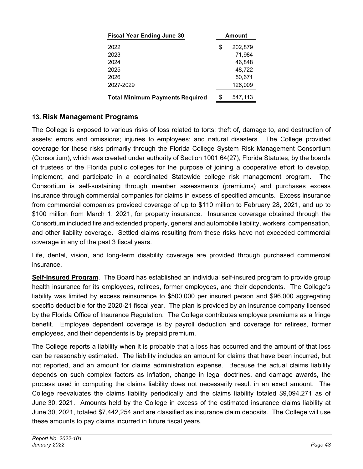| <b>Fiscal Year Ending June 30</b>      | Amount        |  |  |  |
|----------------------------------------|---------------|--|--|--|
| 2022                                   | \$<br>202,879 |  |  |  |
| 2023                                   | 71,984        |  |  |  |
| 2024                                   | 46,848        |  |  |  |
| 2025                                   | 48,722        |  |  |  |
| 2026                                   | 50,671        |  |  |  |
| 2027-2029                              | 126,009       |  |  |  |
| <b>Total Minimum Payments Required</b> | \$<br>547,113 |  |  |  |

## **13. Risk Management Programs**

The College is exposed to various risks of loss related to torts; theft of, damage to, and destruction of assets; errors and omissions; injuries to employees; and natural disasters. The College provided coverage for these risks primarily through the Florida College System Risk Management Consortium (Consortium), which was created under authority of Section 1001.64(27), Florida Statutes, by the boards of trustees of the Florida public colleges for the purpose of joining a cooperative effort to develop, implement, and participate in a coordinated Statewide college risk management program. The Consortium is self-sustaining through member assessments (premiums) and purchases excess insurance through commercial companies for claims in excess of specified amounts. Excess insurance from commercial companies provided coverage of up to \$110 million to February 28, 2021, and up to \$100 million from March 1, 2021, for property insurance. Insurance coverage obtained through the Consortium included fire and extended property, general and automobile liability, workers' compensation, and other liability coverage. Settled claims resulting from these risks have not exceeded commercial coverage in any of the past 3 fiscal years.

Life, dental, vision, and long-term disability coverage are provided through purchased commercial insurance.

**Self-Insured Program**. The Board has established an individual self-insured program to provide group health insurance for its employees, retirees, former employees, and their dependents. The College's liability was limited by excess reinsurance to \$500,000 per insured person and \$96,000 aggregating specific deductible for the 2020-21 fiscal year. The plan is provided by an insurance company licensed by the Florida Office of Insurance Regulation. The College contributes employee premiums as a fringe benefit. Employee dependent coverage is by payroll deduction and coverage for retirees, former employees, and their dependents is by prepaid premium.

The College reports a liability when it is probable that a loss has occurred and the amount of that loss can be reasonably estimated. The liability includes an amount for claims that have been incurred, but not reported, and an amount for claims administration expense. Because the actual claims liability depends on such complex factors as inflation, change in legal doctrines, and damage awards, the process used in computing the claims liability does not necessarily result in an exact amount. The College reevaluates the claims liability periodically and the claims liability totaled \$9,094,271 as of June 30, 2021. Amounts held by the College in excess of the estimated insurance claims liability at June 30, 2021, totaled \$7,442,254 and are classified as insurance claim deposits. The College will use these amounts to pay claims incurred in future fiscal years.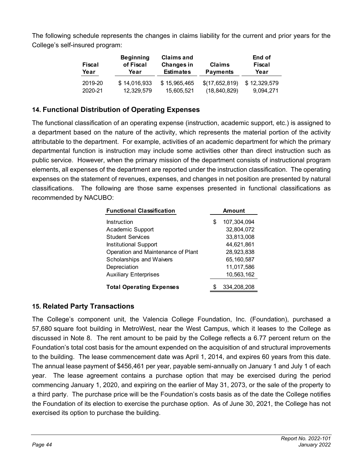The following schedule represents the changes in claims liability for the current and prior years for the College's self-insured program:

| Fiscal<br>Year | <b>Beginning</b><br>of Fiscal<br>Year | <b>Claims and</b><br><b>Changes in</b><br><b>Estimates</b> | <b>Claims</b><br><b>Payments</b> | End of<br><b>Fiscal</b><br>Year |
|----------------|---------------------------------------|------------------------------------------------------------|----------------------------------|---------------------------------|
| 2019-20        | \$14,016,933                          | \$15,965,465                                               | \$(17,652,819)                   | \$12,329,579                    |
| 2020-21        | 12,329,579                            | 15,605,521                                                 | (18, 840, 829)                   | 9,094,271                       |

## **14. Functional Distribution of Operating Expenses**

The functional classification of an operating expense (instruction, academic support, etc.) is assigned to a department based on the nature of the activity, which represents the material portion of the activity attributable to the department. For example, activities of an academic department for which the primary departmental function is instruction may include some activities other than direct instruction such as public service. However, when the primary mission of the department consists of instructional program elements, all expenses of the department are reported under the instruction classification. The operating expenses on the statement of revenues, expenses, and changes in net position are presented by natural classifications. The following are those same expenses presented in functional classifications as recommended by NACUBO:

| <b>Functional Classification</b>   | Amount            |  |  |  |  |
|------------------------------------|-------------------|--|--|--|--|
| Instruction                        | \$<br>107,304,094 |  |  |  |  |
| Academic Support                   | 32,804,072        |  |  |  |  |
| <b>Student Services</b>            | 33,813,008        |  |  |  |  |
| <b>Institutional Support</b>       | 44,621,861        |  |  |  |  |
| Operation and Maintenance of Plant | 28,923,838        |  |  |  |  |
| Scholarships and Waivers           | 65,160,587        |  |  |  |  |
| Depreciation                       | 11,017,586        |  |  |  |  |
| <b>Auxiliary Enterprises</b>       | 10,563,162        |  |  |  |  |
| <b>Total Operating Expenses</b>    | 334,208,208       |  |  |  |  |

## **15. Related Party Transactions**

The College's component unit, the Valencia College Foundation, Inc. (Foundation), purchased a 57,680 square foot building in MetroWest, near the West Campus, which it leases to the College as discussed in Note 8. The rent amount to be paid by the College reflects a 6.77 percent return on the Foundation's total cost basis for the amount expended on the acquisition of and structural improvements to the building. The lease commencement date was April 1, 2014, and expires 60 years from this date. The annual lease payment of \$456,461 per year, payable semi-annually on January 1 and July 1 of each year. The lease agreement contains a purchase option that may be exercised during the period commencing January 1, 2020, and expiring on the earlier of May 31, 2073, or the sale of the property to a third party. The purchase price will be the Foundation's costs basis as of the date the College notifies the Foundation of its election to exercise the purchase option. As of June 30, 2021, the College has not exercised its option to purchase the building.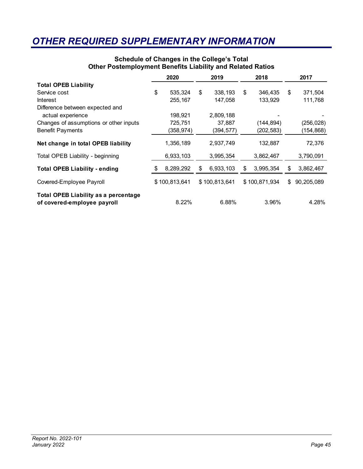# <span id="page-48-0"></span>*OTHER REQUIRED SUPPLEMENTARY INFORMATION*

|                                                                            |    | 2020          | 2019            |    | 2018          | 2017             |
|----------------------------------------------------------------------------|----|---------------|-----------------|----|---------------|------------------|
| <b>Total OPEB Liability</b>                                                |    |               |                 |    |               |                  |
| Service cost                                                               | \$ | 535,324       | \$<br>338,193   | \$ | 346,435       | \$<br>371,504    |
| <b>Interest</b>                                                            |    | 255,167       | 147,058         |    | 133,929       | 111,768          |
| Difference between expected and                                            |    |               |                 |    |               |                  |
| actual experience                                                          |    | 198,921       | 2,809,188       |    |               |                  |
| Changes of assumptions or other inputs                                     |    | 725,751       | 37,887          |    | (144, 894)    | (256, 028)       |
| <b>Benefit Payments</b>                                                    |    | (358,974)     | (394,577)       |    | (202, 583)    | (154,868)        |
| Net change in total OPEB liability                                         |    | 1,356,189     | 2,937,749       |    | 132,887       | 72,376           |
| Total OPEB Liability - beginning                                           |    | 6,933,103     | 3,995,354       |    | 3,862,467     | 3,790,091        |
| <b>Total OPEB Liability - ending</b>                                       | S  | 8,289,292     | \$<br>6,933,103 | S  | 3,995,354     | \$<br>3,862,467  |
| Covered-Employee Payroll                                                   |    | \$100,813,641 | \$100,813,641   |    | \$100,871,934 | \$<br>90,205,089 |
| <b>Total OPEB Liability as a percentage</b><br>of covered-employee payroll |    | 8.22%         | 6.88%           |    | 3.96%         | 4.28%            |

### **Schedule of Changes in the College's Total Other Postemployment Benefits Liability and Related Ratios**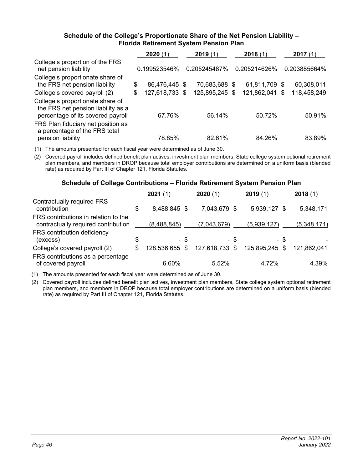#### **Schedule of the College's Proportionate Share of the Net Pension Liability – Florida Retirement System Pension Plan**

<span id="page-49-0"></span>

|                                                                                                             | 2020(1)             |      | 2019(1)        | 2018(1)       |   | 2017 (1      |
|-------------------------------------------------------------------------------------------------------------|---------------------|------|----------------|---------------|---|--------------|
| College's proportion of the FRS<br>net pension liability<br>College's proportionate share of                | 0.199523546%        |      | 0.205245487%   | 0.205214626%  |   | 0.203885664% |
| the FRS net pension liability                                                                               | \$<br>86,476,445 \$ |      | 70,683,688 \$  | 61,811,709 \$ |   | 60,308,011   |
| College's covered payroll (2)                                                                               | \$<br>127,618,733   | - \$ | 125,895,245 \$ | 121,862,041   | S | 118,458,249  |
| College's proportionate share of<br>the FRS net pension liability as a<br>percentage of its covered payroll | 67.76%              |      | 56.14%         | 50.72%        |   | 50.91%       |
| FRS Plan fiduciary net position as<br>a percentage of the FRS total<br>pension liability                    | 78.85%              |      | 82.61%         | 84.26%        |   | 83.89%       |

(1) The amounts presented for each fiscal year were determined as of June 30.

(2) Covered payroll includes defined benefit plan actives, investment plan members, State college system optional retirement plan members, and members in DROP because total employer contributions are determined on a uniform basis (blended rate) as required by Part III of Chapter 121, Florida Statutes.

### **Schedule of College Contributions – Florida Retirement System Pension Plan**

|                                                                             |    | 2021(1)        | 2020(1)                  | 2019(1)      | 2018(1)           |
|-----------------------------------------------------------------------------|----|----------------|--------------------------|--------------|-------------------|
| <b>Contractually required FRS</b><br>contribution                           | \$ | 8,488,845 \$   | 7,043,679 \$             | 5,939,127 \$ | 5,348,171         |
| FRS contributions in relation to the<br>contractually required contribution |    | (8,488,845)    | (7,043,679)              | (5,939,127)  | (5,348,171)       |
| FRS contribution deficiency<br>(excess)                                     |    |                | $\overline{\phantom{0}}$ |              |                   |
| College's covered payroll (2)                                               | S  | 128,536,655 \$ | 127,618,733 \$           | 125,895,245  | \$<br>121.862.041 |
| FRS contributions as a percentage<br>of covered payroll                     |    | 6.60%          | 5.52%                    | 4.72%        | 4.39%             |

(1) The amounts presented for each fiscal year were determined as of June 30.

(2) Covered payroll includes defined benefit plan actives, investment plan members, State college system optional retirement plan members, and members in DROP because total employer contributions are determined on a uniform basis (blended rate) as required by Part III of Chapter 121, Florida Statutes.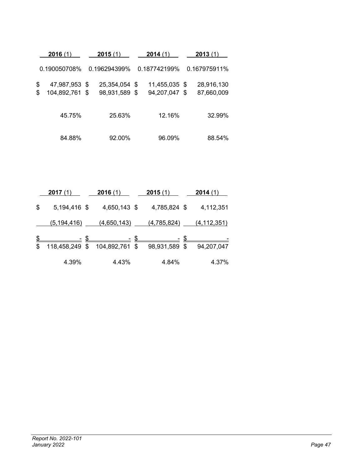|          | 2016(1)                   |              | 2015(1)                     |      | <b>2014</b> (1)                | 2013 (1                  |
|----------|---------------------------|--------------|-----------------------------|------|--------------------------------|--------------------------|
|          | 0.190050708%              |              | 0.196294399%                |      | 0.187742199%                   | 0.167975911%             |
| \$<br>\$ | 47,987,953<br>104,892,761 | - \$<br>- \$ | 25,354,054 \$<br>98,931,589 | - \$ | 11,455,035 \$<br>94,207,047 \$ | 28,916,130<br>87,660,009 |
|          |                           |              |                             |      |                                |                          |
|          | 45.75%                    |              | 25.63%                      |      | 12.16%                         | 32.99%                   |
|          | 84.88%                    |              | 92.00%                      |      | 96.09%                         | 88.54%                   |
|          |                           |              |                             |      |                                |                          |

| 2017(1)            |               | 2016(1)                       |    | 2015(1)       | 2014(1)       |
|--------------------|---------------|-------------------------------|----|---------------|---------------|
| \$<br>5,194,416 \$ |               | 4,650,143 \$                  |    | 4,785,824 \$  | 4,112,351     |
| (5, 194, 416)      |               | (4,650,143)                   |    | (4,785,824)   | (4, 112, 351) |
|                    | $\mathcal{L}$ |                               | -5 |               |               |
| \$                 |               | 118,458,249 \$ 104,892,761 \$ |    | 98,931,589 \$ | 94,207,047    |
| 4.39%              |               | 4.43%                         |    | 4.84%         | 4.37%         |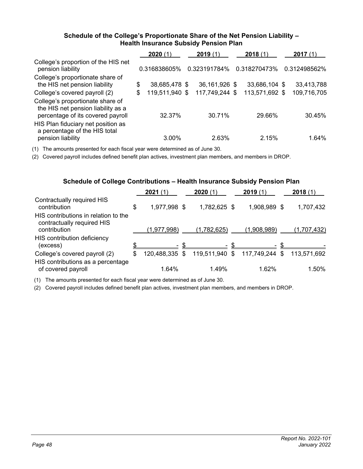#### **Schedule of the College's Proportionate Share of the Net Pension Liability – Health Insurance Subsidy Pension Plan**

<span id="page-51-0"></span>

|                                                                                                             | 2020(1)              | 2019(1)         | 2018(1)        | 2017(1)      |
|-------------------------------------------------------------------------------------------------------------|----------------------|-----------------|----------------|--------------|
| College's proportion of the HIS net<br>pension liability<br>College's proportionate share of                | 0.316838605%         | 0.323191784%    | 0.318270473%   | 0.312498562% |
| the HIS net pension liability                                                                               | \$<br>38,685,478 \$  | 36, 161, 926 \$ | 33,686,104 \$  | 33,413,788   |
| College's covered payroll (2)                                                                               | \$<br>119,511,940 \$ | 117,749,244 \$  | 113,571,692 \$ | 109,716,705  |
| College's proportionate share of<br>the HIS net pension liability as a<br>percentage of its covered payroll | 32.37%               | 30.71%          | 29.66%         | 30.45%       |
| HIS Plan fiduciary net position as<br>a percentage of the HIS total<br>pension liability                    | $3.00\%$             | 2.63%           | 2.15%          | 1.64%        |

(1) The amounts presented for each fiscal year were determined as of June 30.

(2) Covered payroll includes defined benefit plan actives, investment plan members, and members in DROP.

#### **Schedule of College Contributions – Health Insurance Subsidy Pension Plan**

|                                                                    | 2021(1)            | 2020(1)      | 2019(1)                    | 2018(1)           |
|--------------------------------------------------------------------|--------------------|--------------|----------------------------|-------------------|
| Contractually required HIS<br>contribution                         | \$<br>1,977,998 \$ | 1,782,625 \$ | 1,908,989 \$               | 1,707,432         |
| HIS contributions in relation to the<br>contractually required HIS |                    |              |                            |                   |
| contribution                                                       | (1,977,998)        | (1,782,625)  | (1,908,989)                | (1,707,432)       |
| HIS contribution deficiency                                        |                    |              |                            |                   |
| (excess)                                                           |                    |              |                            |                   |
| College's covered payroll (2)                                      | \$<br>120,488,335  | \$           | 119,511,940 \$ 117,749,244 | \$<br>113,571,692 |
| HIS contributions as a percentage                                  |                    |              |                            |                   |
| of covered payroll                                                 | 1.64%              | 1.49%        | 1.62%                      | 1.50%             |

(1) The amounts presented for each fiscal year were determined as of June 30.

(2) Covered payroll includes defined benefit plan actives, investment plan members, and members in DROP.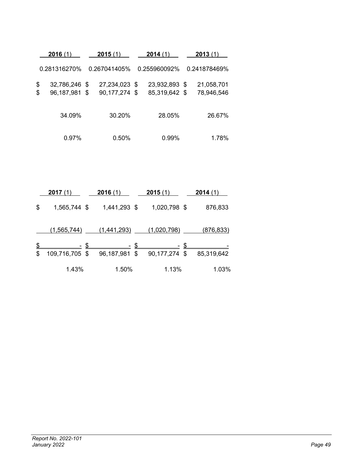|          | 2016(1)                  |              | 2015(1)                        | 2014(1)                        | 2013 (1                  |
|----------|--------------------------|--------------|--------------------------------|--------------------------------|--------------------------|
|          | 0.281316270%             |              | 0.267041405%                   | 0.255960092%                   | 0.241878469%             |
| \$<br>\$ | 32,786,246<br>96,187,981 | - \$<br>- \$ | 27,234,023 \$<br>90,177,274 \$ | 23,932,893 \$<br>85,319,642 \$ | 21,058,701<br>78,946,546 |
|          | 34.09%                   |              | 30.20%                         | 28.05%                         | 26.67%                   |
|          | 0.97%                    |              | 0.50%                          | 0.99%                          | 1.78%                    |

| 2017(1)              | 2016(1)       | 2015(1)       | 2014(1)    |
|----------------------|---------------|---------------|------------|
| \$<br>1,565,744 \$   | 1,441,293 \$  | 1,020,798 \$  | 876,833    |
| (1,565,744)          | (1,441,293)   | (1,020,798)   | (876, 833) |
|                      |               |               |            |
| \$<br>109,716,705 \$ | 96,187,981 \$ | 90,177,274 \$ | 85,319,642 |
| 1.43%                | 1.50%         | 1.13%         | 1.03%      |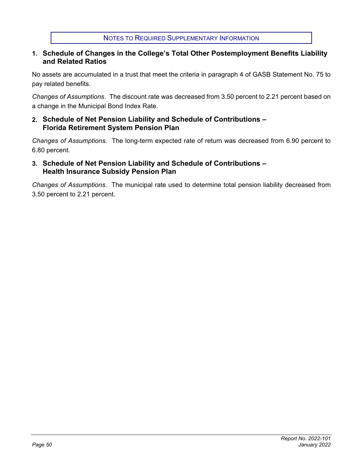## <span id="page-53-0"></span>**1. Schedule of Changes in the College's Total Other Postemployment Benefits Liability and Related Ratios**

No assets are accumulated in a trust that meet the criteria in paragraph 4 of GASB Statement No. 75 to pay related benefits.

*Changes of Assumptions*. The discount rate was decreased from 3.50 percent to 2.21 percent based on a change in the Municipal Bond Index Rate.

### **2. Schedule of Net Pension Liability and Schedule of Contributions – Florida Retirement System Pension Plan**

*Changes of Assumptions.* The long-term expected rate of return was decreased from 6.90 percent to 6.80 percent.

## **3. Schedule of Net Pension Liability and Schedule of Contributions – Health Insurance Subsidy Pension Plan**

*Changes of Assumptions.* The municipal rate used to determine total pension liability decreased from 3.50 percent to 2.21 percent.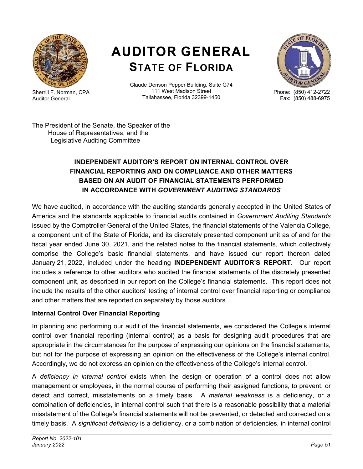<span id="page-54-0"></span>

Sherrill F. Norman, CPA Auditor General

# **AUDITOR GENERAL STATE OF FLORIDA**

Claude Denson Pepper Building, Suite G74 111 West Madison Street Tallahassee, Florida 32399-1450



Phone: (850) 412-2722 Fax: (850) 488-6975

The President of the Senate, the Speaker of the House of Representatives, and the Legislative Auditing Committee

## **INDEPENDENT AUDITOR'S REPORT ON INTERNAL CONTROL OVER FINANCIAL REPORTING AND ON COMPLIANCE AND OTHER MATTERS BASED ON AN AUDIT OF FINANCIAL STATEMENTS PERFORMED IN ACCORDANCE WITH** *GOVERNMENT AUDITING STANDARDS*

We have audited, in accordance with the auditing standards generally accepted in the United States of America and the standards applicable to financial audits contained in *Government Auditing Standards* issued by the Comptroller General of the United States, the financial statements of the Valencia College, a component unit of the State of Florida, and its discretely presented component unit as of and for the fiscal year ended June 30, 2021, and the related notes to the financial statements, which collectively comprise the College's basic financial statements, and have issued our report thereon dated January 21, 2022, included under the heading **INDEPENDENT AUDITOR'S REPORT**. Our report includes a reference to other auditors who audited the financial statements of the discretely presented component unit, as described in our report on the College's financial statements. This report does not include the results of the other auditors' testing of internal control over financial reporting or compliance and other matters that are reported on separately by those auditors.

## **Internal Control Over Financial Reporting**

In planning and performing our audit of the financial statements, we considered the College's internal control over financial reporting (internal control) as a basis for designing audit procedures that are appropriate in the circumstances for the purpose of expressing our opinions on the financial statements, but not for the purpose of expressing an opinion on the effectiveness of the College's internal control. Accordingly, we do not express an opinion on the effectiveness of the College's internal control.

A *deficiency in internal control* exists when the design or operation of a control does not allow management or employees, in the normal course of performing their assigned functions, to prevent, or detect and correct, misstatements on a timely basis. A *material weakness* is a deficiency, or a combination of deficiencies, in internal control such that there is a reasonable possibility that a material misstatement of the College's financial statements will not be prevented, or detected and corrected on a timely basis. A *significant deficiency* is a deficiency, or a combination of deficiencies, in internal control